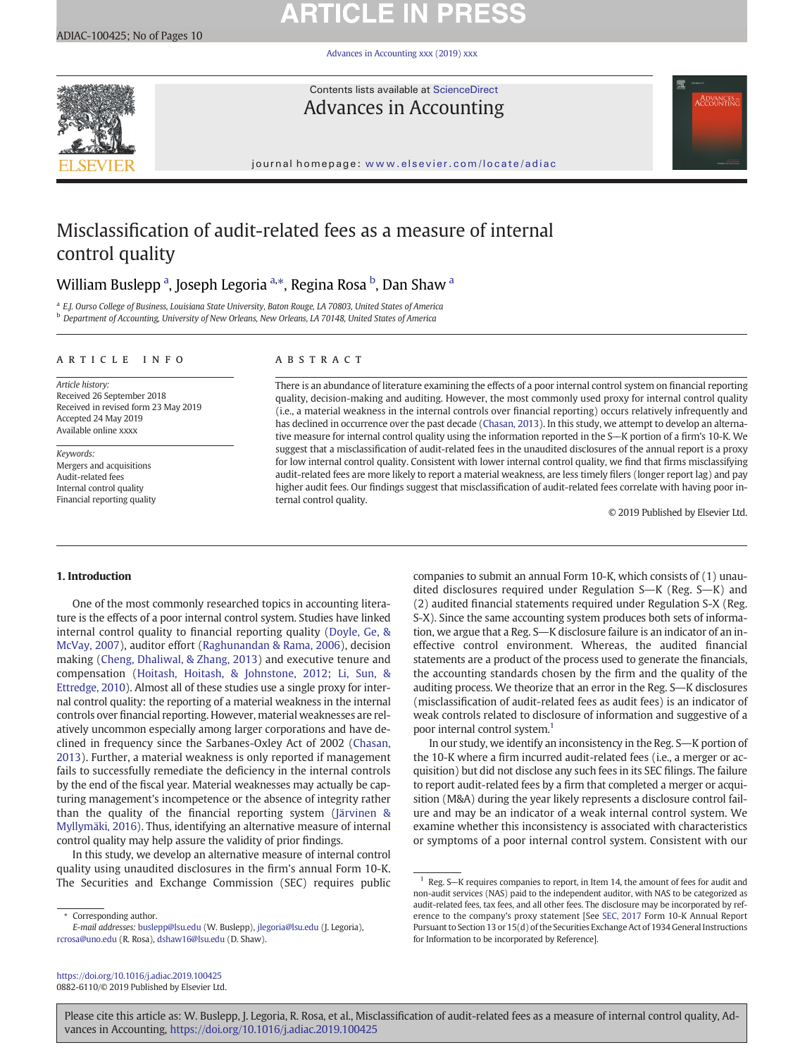**ARTICLE IN PRESS** 

[Advances in Accounting xxx \(2019\) xxx](https://doi.org/10.1016/j.adiac.2019.100425)



Contents lists available at [ScienceDirect](http://www.sciencedirect.com/science/journal/) Advances in Accounting

journal homepage: <www.elsevier.com/locate/adiac>

# Misclassification of audit-related fees as a measure of internal control quality

# William Buslepp <sup>a</sup>, Joseph Legoria <sup>a,\*</sup>, Regina Rosa <sup>b</sup>, Dan Shaw <sup>a</sup>

<sup>a</sup> E.J. Ourso College of Business, Louisiana State University, Baton Rouge, LA 70803, United States of America **b** Department of Accounting, University of New Orleans, New Orleans, LA 70148, United States of America

### article info abstract

Article history: Received 26 September 2018 Received in revised form 23 May 2019 Accepted 24 May 2019 Available online xxxx

Keywords: Mergers and acquisitions Audit-related fees Internal control quality Financial reporting quality

There is an abundance of literature examining the effects of a poor internal control system on financial reporting quality, decision-making and auditing. However, the most commonly used proxy for internal control quality (i.e., a material weakness in the internal controls over financial reporting) occurs relatively infrequently and has declined in occurrence over the past decade ([Chasan, 2013\)](#page-8-0). In this study, we attempt to develop an alternative measure for internal control quality using the information reported in the S-K portion of a firm's 10-K. We suggest that a misclassification of audit-related fees in the unaudited disclosures of the annual report is a proxy for low internal control quality. Consistent with lower internal control quality, we find that firms misclassifying audit-related fees are more likely to report a material weakness, are less timely filers (longer report lag) and pay higher audit fees. Our findings suggest that misclassification of audit-related fees correlate with having poor internal control quality.

© 2019 Published by Elsevier Ltd.

## 1. Introduction

One of the most commonly researched topics in accounting literature is the effects of a poor internal control system. Studies have linked internal control quality to financial reporting quality [\(Doyle, Ge, &](#page-8-0) [McVay, 2007\)](#page-8-0), auditor effort [\(Raghunandan & Rama, 2006\)](#page-9-0), decision making ([Cheng, Dhaliwal, & Zhang, 2013\)](#page-8-0) and executive tenure and compensation ([Hoitash, Hoitash, & Johnstone, 2012](#page-8-0); [Li, Sun, &](#page-8-0) [Ettredge, 2010](#page-8-0)). Almost all of these studies use a single proxy for internal control quality: the reporting of a material weakness in the internal controls over financial reporting. However, material weaknesses are relatively uncommon especially among larger corporations and have declined in frequency since the Sarbanes-Oxley Act of 2002 [\(Chasan,](#page-8-0) [2013\)](#page-8-0). Further, a material weakness is only reported if management fails to successfully remediate the deficiency in the internal controls by the end of the fiscal year. Material weaknesses may actually be capturing management's incompetence or the absence of integrity rather than the quality of the financial reporting system [\(Järvinen &](#page-8-0) [Myllymäki, 2016\)](#page-8-0). Thus, identifying an alternative measure of internal control quality may help assure the validity of prior findings.

In this study, we develop an alternative measure of internal control quality using unaudited disclosures in the firm's annual Form 10-K. The Securities and Exchange Commission (SEC) requires public

companies to submit an annual Form 10-K, which consists of (1) unaudited disclosures required under Regulation S $\!\!-\!\!$ K (Reg. S $\!\!-\!\!$ K) and (2) audited financial statements required under Regulation S-X (Reg. S-X). Since the same accounting system produces both sets of information, we argue that a Reg. S—K disclosure failure is an indicator of an ineffective control environment. Whereas, the audited financial statements are a product of the process used to generate the financials, the accounting standards chosen by the firm and the quality of the auditing process. We theorize that an error in the Reg.  $S-K$  disclosures (misclassification of audit-related fees as audit fees) is an indicator of weak controls related to disclosure of information and suggestive of a poor internal control system.<sup>1</sup>

In our study, we identify an inconsistency in the Reg. S-K portion of the 10-K where a firm incurred audit-related fees (i.e., a merger or acquisition) but did not disclose any such fees in its SEC filings. The failure to report audit-related fees by a firm that completed a merger or acquisition (M&A) during the year likely represents a disclosure control failure and may be an indicator of a weak internal control system. We examine whether this inconsistency is associated with characteristics or symptoms of a poor internal control system. Consistent with our

<https://doi.org/10.1016/j.adiac.2019.100425> 0882-6110/© 2019 Published by Elsevier Ltd.

Corresponding author.

E-mail addresses: buslepp@lsu.edu (W. Buslepp), jlegoria@lsu.edu (J. Legoria), rcrosa@uno.edu (R. Rosa), <dshaw16@lsu.edu> (D. Shaw).

Reg. S-K requires companies to report, in Item 14, the amount of fees for audit and non-audit services (NAS) paid to the independent auditor, with NAS to be categorized as audit-related fees, tax fees, and all other fees. The disclosure may be incorporated by reference to the company's proxy statement [See [SEC, 2017](#page-9-0) Form 10-K Annual Report Pursuant to Section 13 or 15(d) of the Securities Exchange Act of 1934 General Instructions for Information to be incorporated by Reference].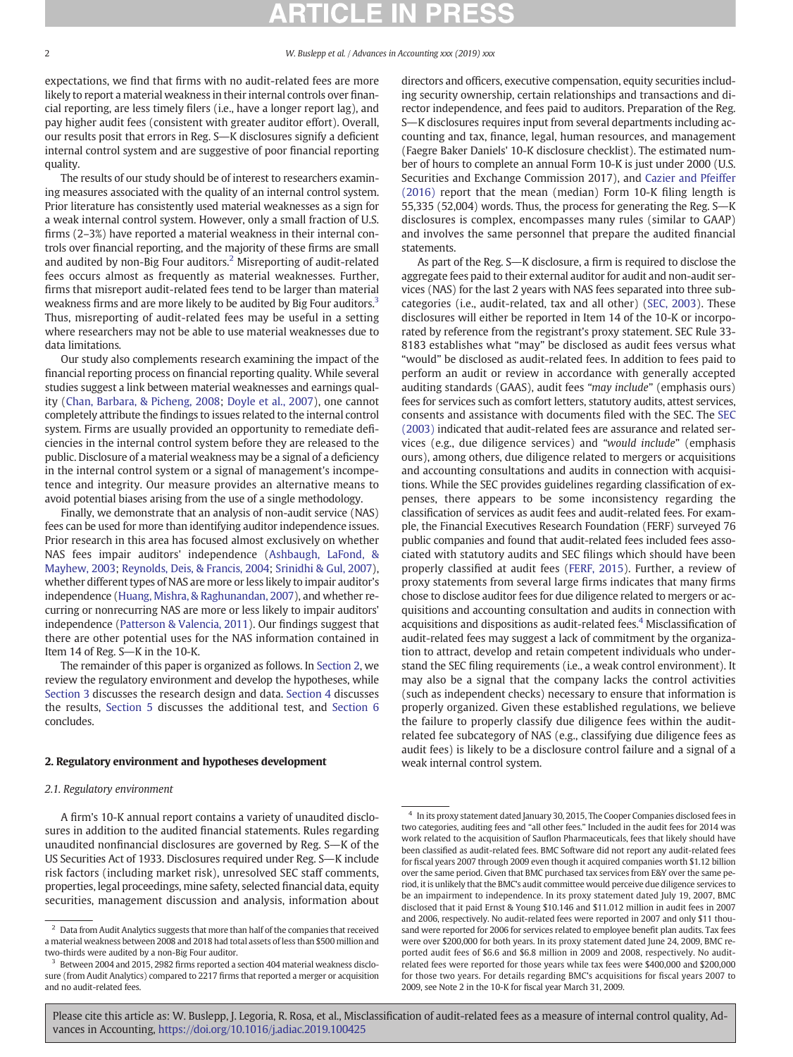expectations, we find that firms with no audit-related fees are more likely to report a material weakness in their internal controls over financial reporting, are less timely filers (i.e., have a longer report lag), and pay higher audit fees (consistent with greater auditor effort). Overall, our results posit that errors in Reg. S-K disclosures signify a deficient internal control system and are suggestive of poor financial reporting quality.

The results of our study should be of interest to researchers examining measures associated with the quality of an internal control system. Prior literature has consistently used material weaknesses as a sign for a weak internal control system. However, only a small fraction of U.S. firms (2–3%) have reported a material weakness in their internal controls over financial reporting, and the majority of these firms are small and audited by non-Big Four auditors. $<sup>2</sup>$  Misreporting of audit-related</sup> fees occurs almost as frequently as material weaknesses. Further, firms that misreport audit-related fees tend to be larger than material weakness firms and are more likely to be audited by Big Four auditors.<sup>3</sup> Thus, misreporting of audit-related fees may be useful in a setting where researchers may not be able to use material weaknesses due to data limitations.

Our study also complements research examining the impact of the financial reporting process on financial reporting quality. While several studies suggest a link between material weaknesses and earnings quality ([Chan, Barbara, & Picheng, 2008](#page-8-0); [Doyle et al., 2007\)](#page-8-0), one cannot completely attribute the findings to issues related to the internal control system. Firms are usually provided an opportunity to remediate deficiencies in the internal control system before they are released to the public. Disclosure of a material weakness may be a signal of a deficiency in the internal control system or a signal of management's incompetence and integrity. Our measure provides an alternative means to avoid potential biases arising from the use of a single methodology.

Finally, we demonstrate that an analysis of non-audit service (NAS) fees can be used for more than identifying auditor independence issues. Prior research in this area has focused almost exclusively on whether NAS fees impair auditors' independence [\(Ashbaugh, LaFond, &](#page-8-0) [Mayhew, 2003;](#page-8-0) [Reynolds, Deis, & Francis, 2004](#page-9-0); [Srinidhi & Gul, 2007](#page-9-0)), whether different types of NAS are more or less likely to impair auditor's independence ([Huang, Mishra, & Raghunandan, 2007\)](#page-8-0), and whether recurring or nonrecurring NAS are more or less likely to impair auditors' independence [\(Patterson & Valencia, 2011\)](#page-9-0). Our findings suggest that there are other potential uses for the NAS information contained in Item 14 of Reg.  $S-K$  in the 10-K.

The remainder of this paper is organized as follows. In Section 2, we review the regulatory environment and develop the hypotheses, while [Section 3](#page-2-0) discusses the research design and data. [Section 4](#page-3-0) discusses the results, [Section 5](#page-6-0) discusses the additional test, and [Section 6](#page-6-0) concludes.

### 2. Regulatory environment and hypotheses development

## 2.1. Regulatory environment

A firm's 10-K annual report contains a variety of unaudited disclosures in addition to the audited financial statements. Rules regarding unaudited nonfinancial disclosures are governed by Reg.  $S$ —K of the US Securities Act of 1933. Disclosures required under Reg. S-K include risk factors (including market risk), unresolved SEC staff comments, properties, legal proceedings, mine safety, selected financial data, equity securities, management discussion and analysis, information about directors and officers, executive compensation, equity securities including security ownership, certain relationships and transactions and director independence, and fees paid to auditors. Preparation of the Reg. S-K disclosures requires input from several departments including accounting and tax, finance, legal, human resources, and management (Faegre Baker Daniels' 10-K disclosure checklist). The estimated number of hours to complete an annual Form 10-K is just under 2000 (U.S. Securities and Exchange Commission 2017), and [Cazier and Pfeiffer](#page-8-0) [\(2016\)](#page-8-0) report that the mean (median) Form 10-K filing length is 55,335 (52,004) words. Thus, the process for generating the Reg. S-K disclosures is complex, encompasses many rules (similar to GAAP) and involves the same personnel that prepare the audited financial statements.

As part of the Reg. S-K disclosure, a firm is required to disclose the aggregate fees paid to their external auditor for audit and non-audit services (NAS) for the last 2 years with NAS fees separated into three subcategories (i.e., audit-related, tax and all other) [\(SEC, 2003](#page-9-0)). These disclosures will either be reported in Item 14 of the 10-K or incorporated by reference from the registrant's proxy statement. SEC Rule 33- 8183 establishes what "may" be disclosed as audit fees versus what "would" be disclosed as audit-related fees. In addition to fees paid to perform an audit or review in accordance with generally accepted auditing standards (GAAS), audit fees "may include" (emphasis ours) fees for services such as comfort letters, statutory audits, attest services, consents and assistance with documents filed with the SEC. The [SEC](#page-9-0) [\(2003\)](#page-9-0) indicated that audit-related fees are assurance and related services (e.g., due diligence services) and "would include" (emphasis ours), among others, due diligence related to mergers or acquisitions and accounting consultations and audits in connection with acquisitions. While the SEC provides guidelines regarding classification of expenses, there appears to be some inconsistency regarding the classification of services as audit fees and audit-related fees. For example, the Financial Executives Research Foundation (FERF) surveyed 76 public companies and found that audit-related fees included fees associated with statutory audits and SEC filings which should have been properly classified at audit fees [\(FERF, 2015\)](#page-8-0). Further, a review of proxy statements from several large firms indicates that many firms chose to disclose auditor fees for due diligence related to mergers or acquisitions and accounting consultation and audits in connection with acquisitions and dispositions as audit-related fees.<sup>4</sup> Misclassification of audit-related fees may suggest a lack of commitment by the organization to attract, develop and retain competent individuals who understand the SEC filing requirements (i.e., a weak control environment). It may also be a signal that the company lacks the control activities (such as independent checks) necessary to ensure that information is properly organized. Given these established regulations, we believe the failure to properly classify due diligence fees within the auditrelated fee subcategory of NAS (e.g., classifying due diligence fees as audit fees) is likely to be a disclosure control failure and a signal of a weak internal control system.

 $^{\rm 2}$  Data from Audit Analytics suggests that more than half of the companies that received a material weakness between 2008 and 2018 had total assets of less than \$500 million and two-thirds were audited by a non-Big Four auditor.

<sup>&</sup>lt;sup>3</sup> Between 2004 and 2015, 2982 firms reported a section 404 material weakness disclosure (from Audit Analytics) compared to 2217 firms that reported a merger or acquisition and no audit-related fees.

 $^4\;$  In its proxy statement dated January 30, 2015, The Cooper Companies disclosed fees in two categories, auditing fees and "all other fees." Included in the audit fees for 2014 was work related to the acquisition of Sauflon Pharmaceuticals, fees that likely should have been classified as audit-related fees. BMC Software did not report any audit-related fees for fiscal years 2007 through 2009 even though it acquired companies worth \$1.12 billion over the same period. Given that BMC purchased tax services from E&Y over the same period, it is unlikely that the BMC's audit committee would perceive due diligence services to be an impairment to independence. In its proxy statement dated July 19, 2007, BMC disclosed that it paid Ernst & Young \$10.146 and \$11.012 million in audit fees in 2007 and 2006, respectively. No audit-related fees were reported in 2007 and only \$11 thousand were reported for 2006 for services related to employee benefit plan audits. Tax fees were over \$200,000 for both years. In its proxy statement dated June 24, 2009, BMC reported audit fees of \$6.6 and \$6.8 million in 2009 and 2008, respectively. No auditrelated fees were reported for those years while tax fees were \$400,000 and \$200,000 for those two years. For details regarding BMC's acquisitions for fiscal years 2007 to 2009, see Note 2 in the 10-K for fiscal year March 31, 2009.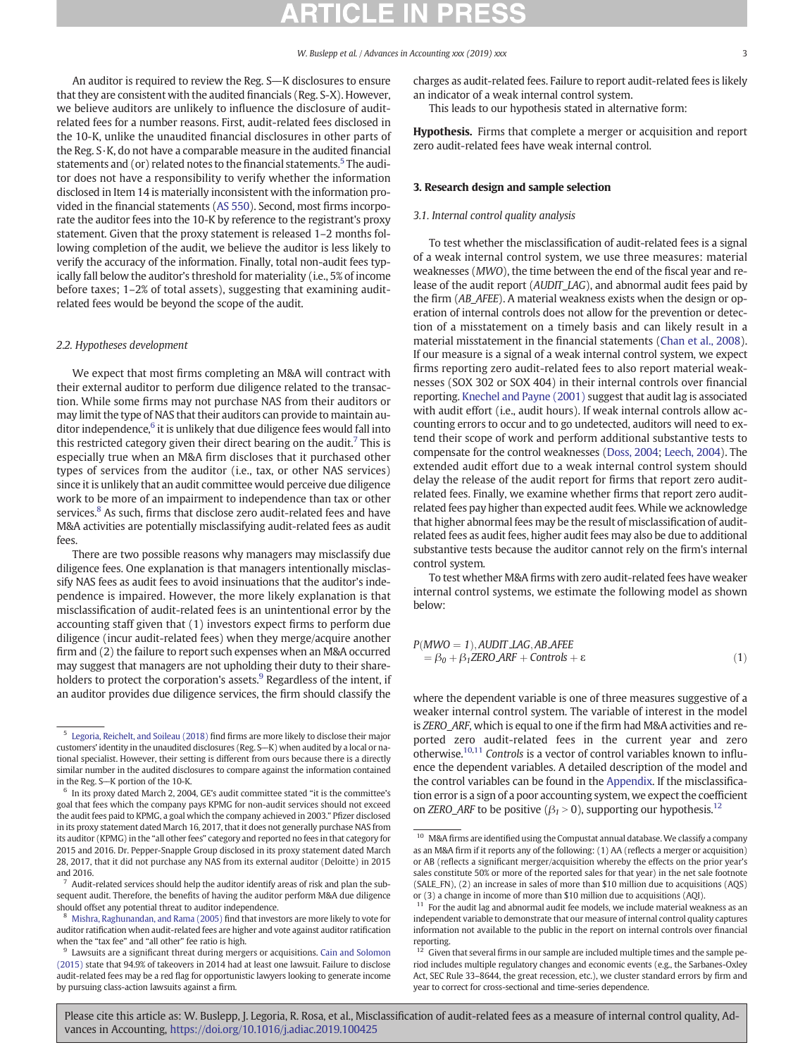<span id="page-2-0"></span>An auditor is required to review the Reg. S-K disclosures to ensure that they are consistent with the audited financials (Reg. S-X). However, we believe auditors are unlikely to influence the disclosure of auditrelated fees for a number reasons. First, audit-related fees disclosed in the 10-K, unlike the unaudited financial disclosures in other parts of the Reg. S·K, do not have a comparable measure in the audited financial statements and (or) related notes to the financial statements.<sup>5</sup> The auditor does not have a responsibility to verify whether the information disclosed in Item 14 is materially inconsistent with the information provided in the financial statements ([AS 550](#page-9-0)). Second, most firms incorporate the auditor fees into the 10-K by reference to the registrant's proxy statement. Given that the proxy statement is released 1–2 months following completion of the audit, we believe the auditor is less likely to verify the accuracy of the information. Finally, total non-audit fees typically fall below the auditor's threshold for materiality (i.e., 5% of income before taxes; 1–2% of total assets), suggesting that examining auditrelated fees would be beyond the scope of the audit.

### 2.2. Hypotheses development

We expect that most firms completing an M&A will contract with their external auditor to perform due diligence related to the transaction. While some firms may not purchase NAS from their auditors or may limit the type of NAS that their auditors can provide to maintain auditor independence, $6$  it is unlikely that due diligence fees would fall into this restricted category given their direct bearing on the audit.<sup>7</sup> This is especially true when an M&A firm discloses that it purchased other types of services from the auditor (i.e., tax, or other NAS services) since it is unlikely that an audit committee would perceive due diligence work to be more of an impairment to independence than tax or other services.<sup>8</sup> As such, firms that disclose zero audit-related fees and have M&A activities are potentially misclassifying audit-related fees as audit fees

There are two possible reasons why managers may misclassify due diligence fees. One explanation is that managers intentionally misclassify NAS fees as audit fees to avoid insinuations that the auditor's independence is impaired. However, the more likely explanation is that misclassification of audit-related fees is an unintentional error by the accounting staff given that (1) investors expect firms to perform due diligence (incur audit-related fees) when they merge/acquire another firm and (2) the failure to report such expenses when an M&A occurred may suggest that managers are not upholding their duty to their shareholders to protect the corporation's assets. $9$  Regardless of the intent, if an auditor provides due diligence services, the firm should classify the

charges as audit-related fees. Failure to report audit-related fees is likely an indicator of a weak internal control system.

This leads to our hypothesis stated in alternative form:

Hypothesis. Firms that complete a merger or acquisition and report zero audit-related fees have weak internal control.

### 3. Research design and sample selection

## 3.1. Internal control quality analysis

To test whether the misclassification of audit-related fees is a signal of a weak internal control system, we use three measures: material weaknesses (MWO), the time between the end of the fiscal year and release of the audit report (AUDIT\_LAG), and abnormal audit fees paid by the firm (AB\_AFEE). A material weakness exists when the design or operation of internal controls does not allow for the prevention or detection of a misstatement on a timely basis and can likely result in a material misstatement in the financial statements [\(Chan et al., 2008](#page-8-0)). If our measure is a signal of a weak internal control system, we expect firms reporting zero audit-related fees to also report material weaknesses (SOX 302 or SOX 404) in their internal controls over financial reporting. [Knechel and Payne \(2001\)](#page-8-0) suggest that audit lag is associated with audit effort (i.e., audit hours). If weak internal controls allow accounting errors to occur and to go undetected, auditors will need to extend their scope of work and perform additional substantive tests to compensate for the control weaknesses [\(Doss, 2004](#page-8-0); [Leech, 2004](#page-8-0)). The extended audit effort due to a weak internal control system should delay the release of the audit report for firms that report zero auditrelated fees. Finally, we examine whether firms that report zero auditrelated fees pay higher than expected audit fees. While we acknowledge that higher abnormal fees may be the result of misclassification of auditrelated fees as audit fees, higher audit fees may also be due to additional substantive tests because the auditor cannot rely on the firm's internal control system.

To test whether M&A firms with zero audit-related fees have weaker internal control systems, we estimate the following model as shown below:

$$
P(MWO = 1), \text{AUDIT LAG}, \text{AB} \text{AFEE} = \beta_0 + \beta_1 \text{ZERO} \text{ARF} + \text{Controls} + \varepsilon
$$
 (1)

where the dependent variable is one of three measures suggestive of a weaker internal control system. The variable of interest in the model is ZERO ARF, which is equal to one if the firm had M&A activities and reported zero audit-related fees in the current year and zero otherwise.10,11 Controls is a vector of control variables known to influence the dependent variables. A detailed description of the model and the control variables can be found in the [Appendix.](#page-7-0) If the misclassification error is a sign of a poor accounting system, we expect the coefficient on ZERO\_ARF to be positive ( $\beta_1 > 0$ ), supporting our hypothesis.<sup>12</sup>

<sup>5</sup> [Legoria, Reichelt, and Soileau \(2018\)](#page-8-0) find firms are more likely to disclose their major customers' identity in the unaudited disclosures (Reg. S-K) when audited by a local or national specialist. However, their setting is different from ours because there is a directly similar number in the audited disclosures to compare against the information contained in the Reg. S-K portion of the 10-K.  $\frac{6}{10}$  In its proxy dated March 2, 2004, GE's audit committee stated "it is the committee's

goal that fees which the company pays KPMG for non-audit services should not exceed the audit fees paid to KPMG, a goal which the company achieved in 2003." Pfizer disclosed in its proxy statement dated March 16, 2017, that it does not generally purchase NAS from its auditor (KPMG) in the "all other fees" category and reported no fees in that category for 2015 and 2016. Dr. Pepper-Snapple Group disclosed in its proxy statement dated March 28, 2017, that it did not purchase any NAS from its external auditor (Deloitte) in 2015 and 2016.

 $7$  Audit-related services should help the auditor identify areas of risk and plan the subsequent audit. Therefore, the benefits of having the auditor perform M&A due diligence should offset any potential threat to auditor independence.

<sup>8</sup> [Mishra, Raghunandan, and Rama \(2005\)](#page-8-0) find that investors are more likely to vote for auditor ratification when audit-related fees are higher and vote against auditor ratification when the "tax fee" and "all other" fee ratio is high.

Lawsuits are a significant threat during mergers or acquisitions. [Cain and Solomon](#page-8-0) [\(2015\)](#page-8-0) state that 94.9% of takeovers in 2014 had at least one lawsuit. Failure to disclose audit-related fees may be a red flag for opportunistic lawyers looking to generate income by pursuing class-action lawsuits against a firm.

<sup>&</sup>lt;sup>10</sup> M&A firms are identified using the Compustat annual database. We classify a company as an M&A firm if it reports any of the following: (1) AA (reflects a merger or acquisition) or AB (reflects a significant merger/acquisition whereby the effects on the prior year's sales constitute 50% or more of the reported sales for that year) in the net sale footnote (SALE\_FN), (2) an increase in sales of more than \$10 million due to acquisitions (AQS) or (3) a change in income of more than \$10 million due to acquisitions (AQI).

<sup>&</sup>lt;sup>11</sup> For the audit lag and abnormal audit fee models, we include material weakness as an independent variable to demonstrate that our measure of internal control quality captures information not available to the public in the report on internal controls over financial reporting.

Given that several firms in our sample are included multiple times and the sample period includes multiple regulatory changes and economic events (e.g., the Sarbanes-Oxley Act, SEC Rule 33–8644, the great recession, etc.), we cluster standard errors by firm and year to correct for cross-sectional and time-series dependence.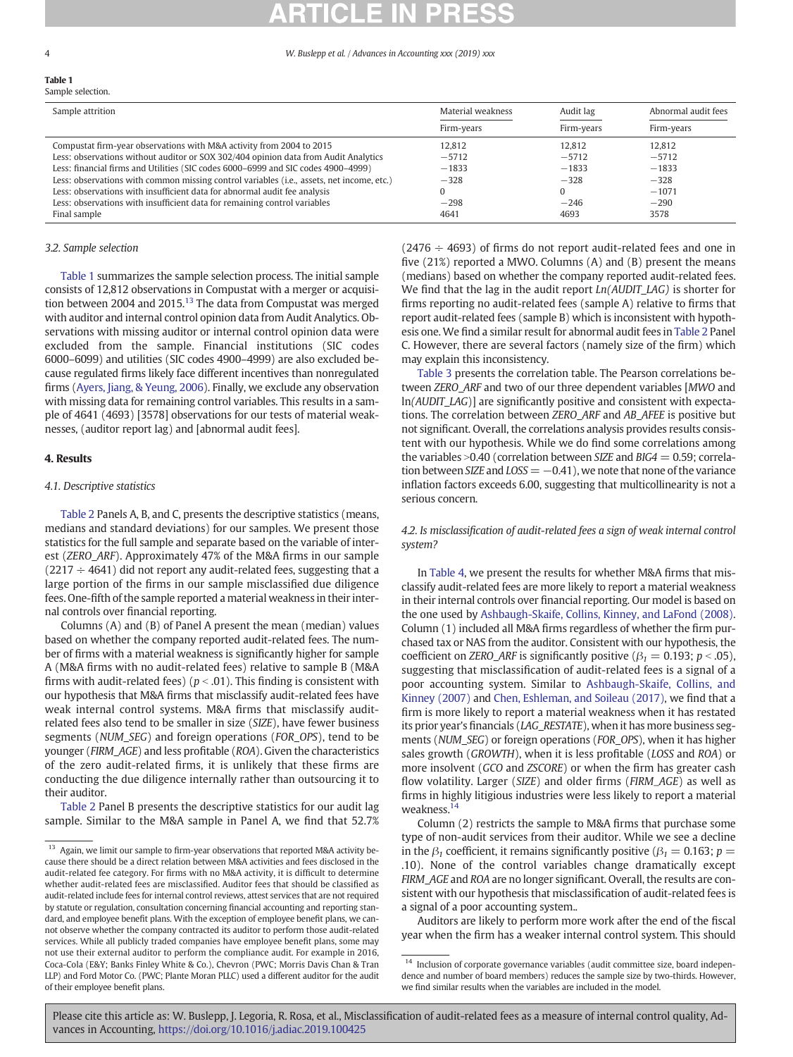# <span id="page-3-0"></span>Table 1

| Sample attrition                                                                          | Material weakness | Audit lag  | Abnormal audit fees |  |
|-------------------------------------------------------------------------------------------|-------------------|------------|---------------------|--|
|                                                                                           | Firm-years        | Firm-years | Firm-years          |  |
| Compustat firm-year observations with M&A activity from 2004 to 2015                      | 12.812            | 12.812     | 12.812              |  |
| Less: observations without auditor or SOX 302/404 opinion data from Audit Analytics       | $-5712$           | $-5712$    | $-5712$             |  |
| Less: financial firms and Utilities (SIC codes 6000–6999 and SIC codes 4900–4999)         | $-1833$           | $-1833$    | $-1833$             |  |
| Less: observations with common missing control variables (i.e., assets, net income, etc.) | $-328$            | $-328$     | $-328$              |  |
| Less: observations with insufficient data for abnormal audit fee analysis                 |                   | $\Omega$   | $-1071$             |  |
| Less: observations with insufficient data for remaining control variables                 | $-298$            | $-246$     | $-290$              |  |
| Final sample                                                                              | 4641              | 4693       | 3578                |  |

## 3.2. Sample selection

Table 1 summarizes the sample selection process. The initial sample consists of 12,812 observations in Compustat with a merger or acquisition between 2004 and 2015.<sup>13</sup> The data from Compustat was merged with auditor and internal control opinion data from Audit Analytics. Observations with missing auditor or internal control opinion data were excluded from the sample. Financial institutions (SIC codes 6000–6099) and utilities (SIC codes 4900–4999) are also excluded because regulated firms likely face different incentives than nonregulated firms [\(Ayers, Jiang, & Yeung, 2006\)](#page-8-0). Finally, we exclude any observation with missing data for remaining control variables. This results in a sample of 4641 (4693) [3578] observations for our tests of material weaknesses, (auditor report lag) and [abnormal audit fees].

## 4. Results

## 4.1. Descriptive statistics

[Table 2](#page-4-0) Panels A, B, and C, presents the descriptive statistics (means, medians and standard deviations) for our samples. We present those statistics for the full sample and separate based on the variable of interest (ZERO\_ARF). Approximately 47% of the M&A firms in our sample  $(2217 \div 4641)$  did not report any audit-related fees, suggesting that a large portion of the firms in our sample misclassified due diligence fees. One-fifth of the sample reported a material weakness in their internal controls over financial reporting.

Columns (A) and (B) of Panel A present the mean (median) values based on whether the company reported audit-related fees. The number of firms with a material weakness is significantly higher for sample A (M&A firms with no audit-related fees) relative to sample B (M&A firms with audit-related fees) ( $p < .01$ ). This finding is consistent with our hypothesis that M&A firms that misclassify audit-related fees have weak internal control systems. M&A firms that misclassify auditrelated fees also tend to be smaller in size (SIZE), have fewer business segments (NUM\_SEG) and foreign operations (FOR\_OPS), tend to be younger (FIRM\_AGE) and less profitable (ROA). Given the characteristics of the zero audit-related firms, it is unlikely that these firms are conducting the due diligence internally rather than outsourcing it to their auditor.

[Table 2](#page-4-0) Panel B presents the descriptive statistics for our audit lag sample. Similar to the M&A sample in Panel A, we find that 52.7%  $(2476 \div 4693)$  of firms do not report audit-related fees and one in five (21%) reported a MWO. Columns (A) and (B) present the means (medians) based on whether the company reported audit-related fees. We find that the lag in the audit report  $Ln(AUDIT\_LAG)$  is shorter for firms reporting no audit-related fees (sample A) relative to firms that report audit-related fees (sample B) which is inconsistent with hypothesis one. We find a similar result for abnormal audit fees in [Table 2](#page-4-0) Panel C. However, there are several factors (namely size of the firm) which may explain this inconsistency.

[Table 3](#page-5-0) presents the correlation table. The Pearson correlations between ZERO ARF and two of our three dependent variables [MWO and ln(AUDIT\_LAG)] are significantly positive and consistent with expectations. The correlation between ZERO\_ARF and AB\_AFEE is positive but not significant. Overall, the correlations analysis provides results consistent with our hypothesis. While we do find some correlations among the variables > 0.40 (correlation between SIZE and BIG4 = 0.59; correlation between SIZE and  $LOS = -0.41$ ), we note that none of the variance inflation factors exceeds 6.00, suggesting that multicollinearity is not a serious concern.

4.2. Is misclassification of audit-related fees a sign of weak internal control system?

In [Table 4,](#page-5-0) we present the results for whether M&A firms that misclassify audit-related fees are more likely to report a material weakness in their internal controls over financial reporting. Our model is based on the one used by [Ashbaugh-Skaife, Collins, Kinney, and LaFond \(2008\).](#page-8-0) Column (1) included all M&A firms regardless of whether the firm purchased tax or NAS from the auditor. Consistent with our hypothesis, the coefficient on ZERO\_ARF is significantly positive ( $\beta_1 = 0.193$ ;  $p < .05$ ), suggesting that misclassification of audit-related fees is a signal of a poor accounting system. Similar to [Ashbaugh-Skaife, Collins, and](#page-8-0) [Kinney \(2007\)](#page-8-0) and [Chen, Eshleman, and Soileau \(2017\)](#page-8-0), we find that a firm is more likely to report a material weakness when it has restated its prior year's financials (LAG\_RESTATE), when it has more business segments (NUM\_SEG) or foreign operations (FOR\_OPS), when it has higher sales growth (GROWTH), when it is less profitable (LOSS and ROA) or more insolvent (GCO and ZSCORE) or when the firm has greater cash flow volatility. Larger (SIZE) and older firms (FIRM\_AGE) as well as firms in highly litigious industries were less likely to report a material weakness.<sup>14</sup>

Column (2) restricts the sample to M&A firms that purchase some type of non-audit services from their auditor. While we see a decline in the  $\beta_1$  coefficient, it remains significantly positive ( $\beta_1 = 0.163$ ;  $p =$ .10). None of the control variables change dramatically except FIRM\_AGE and ROA are no longer significant. Overall, the results are consistent with our hypothesis that misclassification of audit-related fees is a signal of a poor accounting system..

Auditors are likely to perform more work after the end of the fiscal year when the firm has a weaker internal control system. This should

| Sample attrition                                                                          | Material weakness | Audit lag  | Abnorma  |
|-------------------------------------------------------------------------------------------|-------------------|------------|----------|
|                                                                                           | Firm-years        | Firm-years | Firm-yea |
| Compustat firm-year observations with M&A activity from 2004 to 2015                      | 12.812            | 12.812     | 12.812   |
| Less: observations without auditor or SOX 302/404 opinion data from Audit Analytics       | $-5712$           | $-5712$    | $-5712$  |
| Less: financial firms and Utilities (SIC codes 6000–6999 and SIC codes 4900–4999)         | $-1833$           | $-1833$    | $-1833$  |
| Less: observations with common missing control variables (i.e., assets, net income, etc.) | $-328$            | $-328$     | $-328$   |
| Less: observations with insufficient data for abnormal audit fee analysis                 |                   |            | $-1071$  |
| Less: observations with insufficient data for remaining control variables                 | $-298$            | $-246$     | $-290$   |
| Final sample                                                                              | 4641              | 4693       | 3578     |

<sup>&</sup>lt;sup>13</sup> Again, we limit our sample to firm-year observations that reported M&A activity because there should be a direct relation between M&A activities and fees disclosed in the audit-related fee category. For firms with no M&A activity, it is difficult to determine whether audit-related fees are misclassified. Auditor fees that should be classified as audit-related include fees for internal control reviews, attest services that are not required by statute or regulation, consultation concerning financial accounting and reporting standard, and employee benefit plans. With the exception of employee benefit plans, we cannot observe whether the company contracted its auditor to perform those audit-related services. While all publicly traded companies have employee benefit plans, some may not use their external auditor to perform the compliance audit. For example in 2016, Coca-Cola (E&Y; Banks Finley White & Co.), Chevron (PWC; Morris Davis Chan & Tran LLP) and Ford Motor Co. (PWC; Plante Moran PLLC) used a different auditor for the audit of their employee benefit plans.

 $^{14}\,$  Inclusion of corporate governance variables (audit committee size, board independence and number of board members) reduces the sample size by two-thirds. However, we find similar results when the variables are included in the model.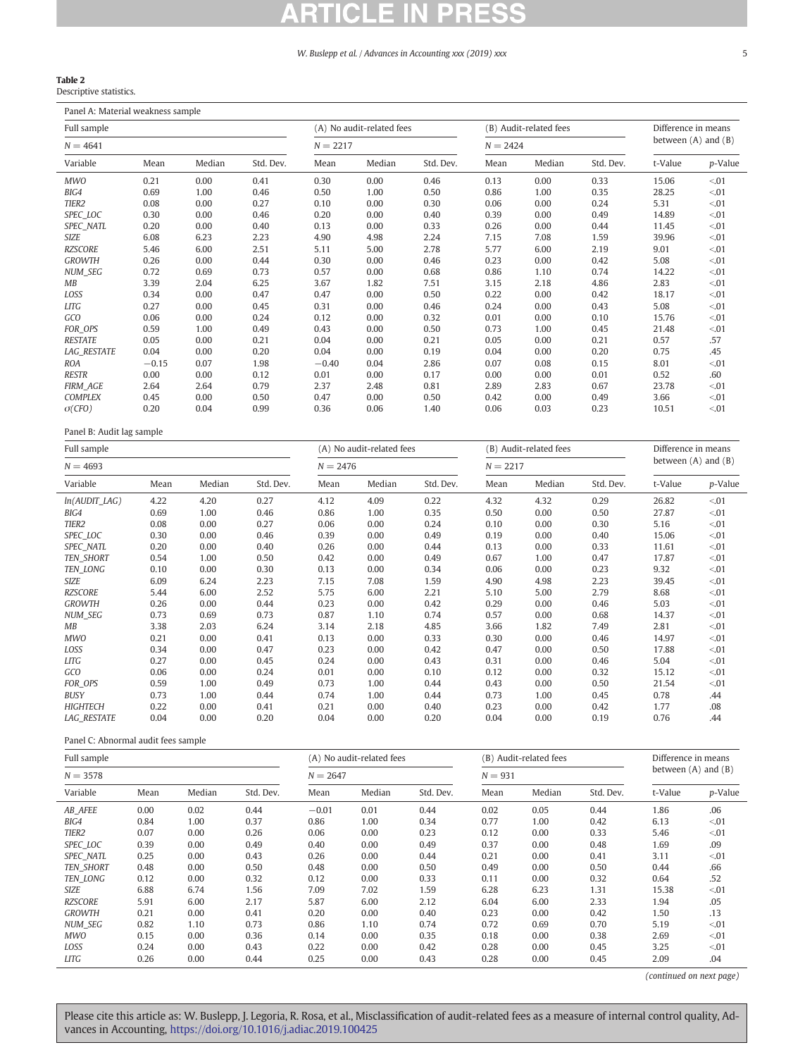## <span id="page-4-0"></span>Table 2

Descriptive statistics.

Panel A: Material weakness sample

| Full sample        |         |        |           | (A) No audit-related fees |        |           |            | (B) Audit-related fees |           | Difference in means     |         |
|--------------------|---------|--------|-----------|---------------------------|--------|-----------|------------|------------------------|-----------|-------------------------|---------|
| $N = 4641$         |         |        |           | $N = 2217$                |        |           | $N = 2424$ |                        |           | between $(A)$ and $(B)$ |         |
| Variable           | Mean    | Median | Std. Dev. | Mean                      | Median | Std. Dev. | Mean       | Median                 | Std. Dev. | t-Value                 | p-Value |
| <b>MWO</b>         | 0.21    | 0.00   | 0.41      | 0.30                      | 0.00   | 0.46      | 0.13       | 0.00                   | 0.33      | 15.06                   | < 01    |
| BIG4               | 0.69    | 1.00   | 0.46      | 0.50                      | 1.00   | 0.50      | 0.86       | 1.00                   | 0.35      | 28.25                   | < 01    |
| TIER <sub>2</sub>  | 0.08    | 0.00   | 0.27      | 0.10                      | 0.00   | 0.30      | 0.06       | 0.00                   | 0.24      | 5.31                    | < 01    |
| SPEC_LOC           | 0.30    | 0.00   | 0.46      | 0.20                      | 0.00   | 0.40      | 0.39       | 0.00                   | 0.49      | 14.89                   | < 01    |
| SPEC_NATL          | 0.20    | 0.00   | 0.40      | 0.13                      | 0.00   | 0.33      | 0.26       | 0.00                   | 0.44      | 11.45                   | < 01    |
| SIZE               | 6.08    | 6.23   | 2.23      | 4.90                      | 4.98   | 2.24      | 7.15       | 7.08                   | 1.59      | 39.96                   | < 01    |
| <b>RZSCORE</b>     | 5.46    | 6.00   | 2.51      | 5.11                      | 5.00   | 2.78      | 5.77       | 6.00                   | 2.19      | 9.01                    | < 01    |
| <b>GROWTH</b>      | 0.26    | 0.00   | 0.44      | 0.30                      | 0.00   | 0.46      | 0.23       | 0.00                   | 0.42      | 5.08                    | < 01    |
| NUM_SEG            | 0.72    | 0.69   | 0.73      | 0.57                      | 0.00   | 0.68      | 0.86       | 1.10                   | 0.74      | 14.22                   | < 01    |
| MB                 | 3.39    | 2.04   | 6.25      | 3.67                      | 1.82   | 7.51      | 3.15       | 2.18                   | 4.86      | 2.83                    | < 01    |
| LOSS               | 0.34    | 0.00   | 0.47      | 0.47                      | 0.00   | 0.50      | 0.22       | 0.00                   | 0.42      | 18.17                   | < 01    |
| <b>LITG</b>        | 0.27    | 0.00   | 0.45      | 0.31                      | 0.00   | 0.46      | 0.24       | 0.00                   | 0.43      | 5.08                    | < 01    |
| GCO                | 0.06    | 0.00   | 0.24      | 0.12                      | 0.00   | 0.32      | 0.01       | 0.00                   | 0.10      | 15.76                   | < 01    |
| FOR_OPS            | 0.59    | 1.00   | 0.49      | 0.43                      | 0.00   | 0.50      | 0.73       | 1.00                   | 0.45      | 21.48                   | < 01    |
| <b>RESTATE</b>     | 0.05    | 0.00   | 0.21      | 0.04                      | 0.00   | 0.21      | 0.05       | 0.00                   | 0.21      | 0.57                    | .57     |
| <b>LAG_RESTATE</b> | 0.04    | 0.00   | 0.20      | 0.04                      | 0.00   | 0.19      | 0.04       | 0.00                   | 0.20      | 0.75                    | .45     |
| <b>ROA</b>         | $-0.15$ | 0.07   | 1.98      | $-0.40$                   | 0.04   | 2.86      | 0.07       | 0.08                   | 0.15      | 8.01                    | < 01    |
| <b>RESTR</b>       | 0.00    | 0.00   | 0.12      | 0.01                      | 0.00   | 0.17      | 0.00       | 0.00                   | 0.01      | 0.52                    | .60     |
| <b>FIRM_AGE</b>    | 2.64    | 2.64   | 0.79      | 2.37                      | 2.48   | 0.81      | 2.89       | 2.83                   | 0.67      | 23.78                   | < 01    |
| <b>COMPLEX</b>     | 0.45    | 0.00   | 0.50      | 0.47                      | 0.00   | 0.50      | 0.42       | 0.00                   | 0.49      | 3.66                    | < 01    |
| $\sigma$ (CFO)     | 0.20    | 0.04   | 0.99      | 0.36                      | 0.06   | 1.40      | 0.06       | 0.03                   | 0.23      | 10.51                   | < 01    |

Panel B: Audit lag sample

| Full sample        |      |        |           |            | (A) No audit-related fees |           |            | (B) Audit-related fees | Difference in means |                         |         |  |
|--------------------|------|--------|-----------|------------|---------------------------|-----------|------------|------------------------|---------------------|-------------------------|---------|--|
| $N = 4693$         |      |        |           | $N = 2476$ |                           |           | $N = 2217$ |                        |                     | between $(A)$ and $(B)$ |         |  |
| Variable           | Mean | Median | Std. Dev. | Mean       | Median                    | Std. Dev. | Mean       | Median                 | Std. Dev.           | t-Value                 | p-Value |  |
| $ln(AUDIT_LAG)$    | 4.22 | 4.20   | 0.27      | 4.12       | 4.09                      | 0.22      | 4.32       | 4.32                   | 0.29                | 26.82                   | < 01    |  |
| BIG4               | 0.69 | 1.00   | 0.46      | 0.86       | 1.00                      | 0.35      | 0.50       | 0.00                   | 0.50                | 27.87                   | < 01    |  |
| TIER2              | 0.08 | 0.00   | 0.27      | 0.06       | 0.00                      | 0.24      | 0.10       | 0.00                   | 0.30                | 5.16                    | < 01    |  |
| SPEC_LOC           | 0.30 | 0.00   | 0.46      | 0.39       | 0.00                      | 0.49      | 0.19       | 0.00                   | 0.40                | 15.06                   | < 01    |  |
| SPEC_NATL          | 0.20 | 0.00   | 0.40      | 0.26       | 0.00                      | 0.44      | 0.13       | 0.00                   | 0.33                | 11.61                   | < 01    |  |
| <b>TEN SHORT</b>   | 0.54 | 1.00   | 0.50      | 0.42       | 0.00                      | 0.49      | 0.67       | 1.00                   | 0.47                | 17.87                   | < 01    |  |
| TEN_LONG           | 0.10 | 0.00   | 0.30      | 0.13       | 0.00                      | 0.34      | 0.06       | 0.00                   | 0.23                | 9.32                    | < 01    |  |
| SIZE               | 6.09 | 6.24   | 2.23      | 7.15       | 7.08                      | 1.59      | 4.90       | 4.98                   | 2.23                | 39.45                   | < 01    |  |
| <b>RZSCORE</b>     | 5.44 | 6.00   | 2.52      | 5.75       | 6.00                      | 2.21      | 5.10       | 5.00                   | 2.79                | 8.68                    | < 01    |  |
| <b>GROWTH</b>      | 0.26 | 0.00   | 0.44      | 0.23       | 0.00                      | 0.42      | 0.29       | 0.00                   | 0.46                | 5.03                    | < 01    |  |
| NUM_SEG            | 0.73 | 0.69   | 0.73      | 0.87       | 1.10                      | 0.74      | 0.57       | 0.00                   | 0.68                | 14.37                   | < 01    |  |
| МB                 | 3.38 | 2.03   | 6.24      | 3.14       | 2.18                      | 4.85      | 3.66       | 1.82                   | 7.49                | 2.81                    | < 01    |  |
| MWO                | 0.21 | 0.00   | 0.41      | 0.13       | 0.00                      | 0.33      | 0.30       | 0.00                   | 0.46                | 14.97                   | < 01    |  |
| LOSS               | 0.34 | 0.00   | 0.47      | 0.23       | 0.00                      | 0.42      | 0.47       | 0.00                   | 0.50                | 17.88                   | < 01    |  |
| LITG               | 0.27 | 0.00   | 0.45      | 0.24       | 0.00                      | 0.43      | 0.31       | 0.00                   | 0.46                | 5.04                    | < 01    |  |
| GCO                | 0.06 | 0.00   | 0.24      | 0.01       | 0.00                      | 0.10      | 0.12       | 0.00                   | 0.32                | 15.12                   | < 01    |  |
| FOR_OPS            | 0.59 | 1.00   | 0.49      | 0.73       | 1.00                      | 0.44      | 0.43       | 0.00                   | 0.50                | 21.54                   | < 01    |  |
| <b>BUSY</b>        | 0.73 | 1.00   | 0.44      | 0.74       | 1.00                      | 0.44      | 0.73       | 1.00                   | 0.45                | 0.78                    | .44     |  |
| <b>HIGHTECH</b>    | 0.22 | 0.00   | 0.41      | 0.21       | 0.00                      | 0.40      | 0.23       | 0.00                   | 0.42                | 1.77                    | .08     |  |
| <b>LAG RESTATE</b> | 0.04 | 0.00   | 0.20      | 0.04       | 0.00                      | 0.20      | 0.04       | 0.00                   | 0.19                | 0.76                    | .44     |  |

Panel C: Abnormal audit fees sample

| Full sample       |      |        |           |            | (A) No audit-related fees |           |           | (B) Audit-related fees | Difference in means |                         |         |  |
|-------------------|------|--------|-----------|------------|---------------------------|-----------|-----------|------------------------|---------------------|-------------------------|---------|--|
| $N = 3578$        |      |        |           | $N = 2647$ |                           |           | $N = 931$ |                        |                     | between $(A)$ and $(B)$ |         |  |
| Variable          | Mean | Median | Std. Dev. | Mean       | Median                    | Std. Dev. | Mean      | Median                 | Std. Dev.           | t-Value                 | p-Value |  |
| AB AFEE           | 0.00 | 0.02   | 0.44      | $-0.01$    | 0.01                      | 0.44      | 0.02      | 0.05                   | 0.44                | 1.86                    | .06     |  |
| BIG4              | 0.84 | 1.00   | 0.37      | 0.86       | 1.00                      | 0.34      | 0.77      | 1.00                   | 0.42                | 6.13                    | < 01    |  |
| TIER <sub>2</sub> | 0.07 | 0.00   | 0.26      | 0.06       | 0.00                      | 0.23      | 0.12      | 0.00                   | 0.33                | 5.46                    | < 01    |  |
| SPEC_LOC          | 0.39 | 0.00   | 0.49      | 0.40       | 0.00                      | 0.49      | 0.37      | 0.00                   | 0.48                | 1.69                    | .09     |  |
| <b>SPEC NATL</b>  | 0.25 | 0.00   | 0.43      | 0.26       | 0.00                      | 0.44      | 0.21      | 0.00                   | 0.41                | 3.11                    | < 01    |  |
| <b>TEN SHORT</b>  | 0.48 | 0.00   | 0.50      | 0.48       | 0.00                      | 0.50      | 0.49      | 0.00                   | 0.50                | 0.44                    | .66     |  |
| TEN_LONG          | 0.12 | 0.00   | 0.32      | 0.12       | 0.00                      | 0.33      | 0.11      | 0.00                   | 0.32                | 0.64                    | .52     |  |
| SIZE              | 6.88 | 6.74   | 1.56      | 7.09       | 7.02                      | 1.59      | 6.28      | 6.23                   | 1.31                | 15.38                   | < 01    |  |
| <b>RZSCORE</b>    | 5.91 | 6.00   | 2.17      | 5.87       | 6.00                      | 2.12      | 6.04      | 6.00                   | 2.33                | 1.94                    | .05     |  |
| <b>GROWTH</b>     | 0.21 | 0.00   | 0.41      | 0.20       | 0.00                      | 0.40      | 0.23      | 0.00                   | 0.42                | 1.50                    | .13     |  |
| <b>NUM SEG</b>    | 0.82 | 1.10   | 0.73      | 0.86       | 1.10                      | 0.74      | 0.72      | 0.69                   | 0.70                | 5.19                    | < 01    |  |
| <b>MWO</b>        | 0.15 | 0.00   | 0.36      | 0.14       | 0.00                      | 0.35      | 0.18      | 0.00                   | 0.38                | 2.69                    | < 01    |  |
| LOSS              | 0.24 | 0.00   | 0.43      | 0.22       | 0.00                      | 0.42      | 0.28      | 0.00                   | 0.45                | 3.25                    | < 01    |  |
| <b>LITG</b>       | 0.26 | 0.00   | 0.44      | 0.25       | 0.00                      | 0.43      | 0.28      | 0.00                   | 0.45                | 2.09                    | .04     |  |

(continued on next page)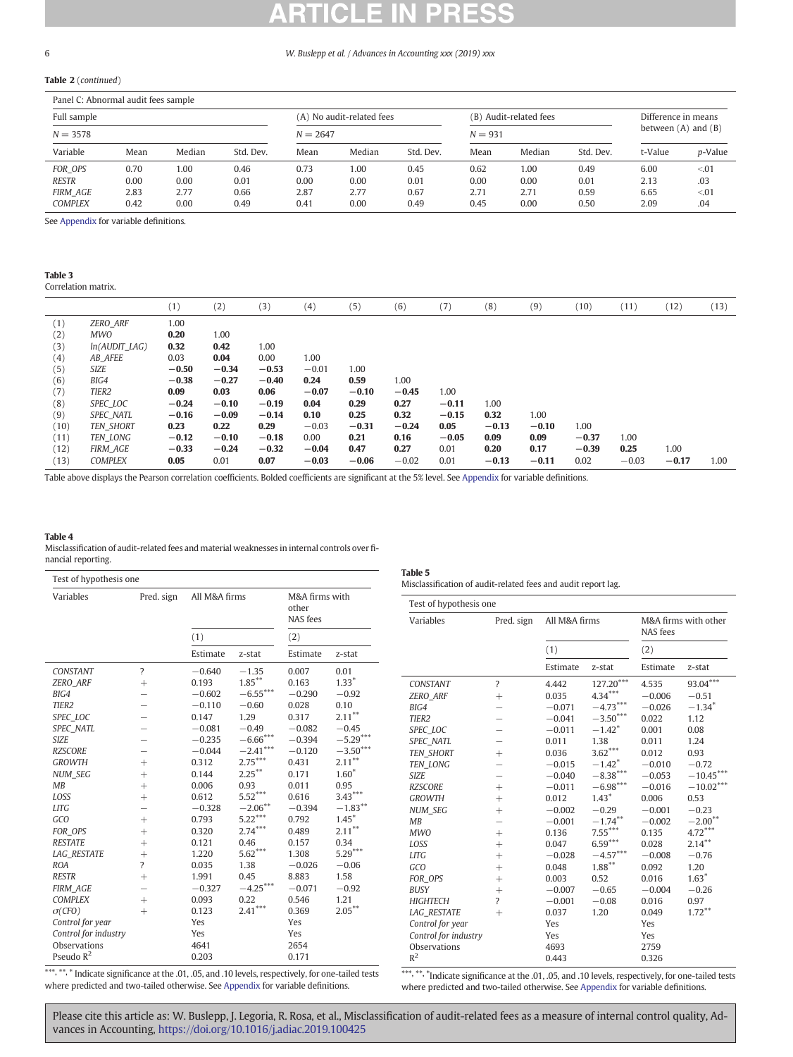## <span id="page-5-0"></span>Table 2 (continued)

## Panel C: Abnormal audit fees sample

| Full sample     |      |        |           | (A) No audit-related fees<br>$N = 2647$ |        |           |           | (B) Audit-related fees |           | Difference in means<br>between $(A)$ and $(B)$ |                 |
|-----------------|------|--------|-----------|-----------------------------------------|--------|-----------|-----------|------------------------|-----------|------------------------------------------------|-----------------|
| $N = 3578$      |      |        |           |                                         |        |           | $N = 931$ |                        |           |                                                |                 |
| Variable        | Mean | Median | Std. Dev. | Mean                                    | Median | Std. Dev. | Mean      | Median                 | Std. Dev. | t-Value                                        | <i>p</i> -Value |
| FOR OPS         | 0.70 | 1.00   | 0.46      | 0.73                                    | 1.00   | 0.45      | 0.62      | 1.00                   | 0.49      | 6.00                                           | < 01            |
| <b>RESTR</b>    | 0.00 | 0.00   | 0.01      | 0.00                                    | 0.00   | 0.01      | 0.00      | 0.00                   | 0.01      | 2.13                                           | .03             |
| <b>FIRM AGE</b> | 2.83 | 2.77   | 0.66      | 2.87                                    | 2.77   | 0.67      | 2.71      | 2.71                   | 0.59      | 6.65                                           | < 01            |
| <b>COMPLEX</b>  | 0.42 | 0.00   | 0.49      | 0.41                                    | 0.00   | 0.49      | 0.45      | 0.00                   | 0.50      | 2.09                                           | .04             |

See [Appendix](#page-7-0) for variable definitions.

### Table 3 Correlation matrix.

|      |                   | (1)     | (2)     | (3)     | (4)     | (5)     | (6)     | (7)     | (8)     | (9)     | (10)    | (11)    | (12)    | (13) |
|------|-------------------|---------|---------|---------|---------|---------|---------|---------|---------|---------|---------|---------|---------|------|
| (1)  | <b>ZERO ARF</b>   | 1.00    |         |         |         |         |         |         |         |         |         |         |         |      |
| (2)  | MWO               | 0.20    | 1.00    |         |         |         |         |         |         |         |         |         |         |      |
| (3)  | $ln(AUDIT_LAG)$   | 0.32    | 0.42    | 1.00    |         |         |         |         |         |         |         |         |         |      |
| (4)  | AB AFEE           | 0.03    | 0.04    | 0.00    | 1.00    |         |         |         |         |         |         |         |         |      |
| (5)  | SIZE              | $-0.50$ | $-0.34$ | $-0.53$ | $-0.01$ | 1.00    |         |         |         |         |         |         |         |      |
| (6)  | BIG4              | $-0.38$ | $-0.27$ | $-0.40$ | 0.24    | 0.59    | 1.00    |         |         |         |         |         |         |      |
| (7)  | TIER <sub>2</sub> | 0.09    | 0.03    | 0.06    | $-0.07$ | $-0.10$ | $-0.45$ | 1.00    |         |         |         |         |         |      |
| (8)  | SPEC LOC          | $-0.24$ | $-0.10$ | $-0.19$ | 0.04    | 0.29    | 0.27    | $-0.11$ | 1.00    |         |         |         |         |      |
| (9)  | <b>SPEC NATL</b>  | $-0.16$ | $-0.09$ | $-0.14$ | 0.10    | 0.25    | 0.32    | $-0.15$ | 0.32    | 1.00    |         |         |         |      |
| (10) | <b>TEN SHORT</b>  | 0.23    | 0.22    | 0.29    | $-0.03$ | $-0.31$ | $-0.24$ | 0.05    | $-0.13$ | $-0.10$ | 1.00    |         |         |      |
| (11) | <b>TEN LONG</b>   | $-0.12$ | $-0.10$ | $-0.18$ | 0.00    | 0.21    | 0.16    | $-0.05$ | 0.09    | 0.09    | $-0.37$ | 1.00    |         |      |
| (12) | FIRM AGE          | $-0.33$ | $-0.24$ | $-0.32$ | $-0.04$ | 0.47    | 0.27    | 0.01    | 0.20    | 0.17    | $-0.39$ | 0.25    | 1.00    |      |
| (13) | <b>COMPLEX</b>    | 0.05    | 0.01    | 0.07    | $-0.03$ | $-0.06$ | $-0.02$ | 0.01    | $-0.13$ | $-0.11$ | 0.02    | $-0.03$ | $-0.17$ | 1.00 |

Table above displays the Pearson correlation coefficients. Bolded coefficients are significant at the 5% level. See [Appendix](#page-7-0) for variable definitions.

### Table 4

Misclassification of audit-related fees and material weaknesses in internal controls over financial reporting.

|                      | Test of hypothesis one   |               |                        |                         |                        |                        | Misclassification of audit-related fees and audit report lag. |               |                         |          |                      |  |
|----------------------|--------------------------|---------------|------------------------|-------------------------|------------------------|------------------------|---------------------------------------------------------------|---------------|-------------------------|----------|----------------------|--|
| Variables            | Pred. sign               | All M&A firms |                        | M&A firms with<br>other |                        | Test of hypothesis one |                                                               |               |                         |          |                      |  |
|                      |                          |               |                        | NAS fees                |                        | Variables              | Pred. sign                                                    | All M&A firms |                         | NAS fees | M&A firms with other |  |
|                      |                          | (1)           |                        | (2)                     |                        |                        |                                                               |               | (1)                     |          |                      |  |
|                      |                          | Estimate      | z-stat                 | Estimate                | z-stat                 |                        |                                                               |               |                         | (2)      |                      |  |
| CONSTANT             | $\overline{\phantom{a}}$ | $-0.640$      | $-1.35$                | 0.007                   | 0.01                   |                        |                                                               | Estimate      | z-stat                  | Estimate | z-stat               |  |
| <b>ZERO ARF</b>      | $^{+}$                   | 0.193         | $1.85***$              | 0.163                   | $1.33*$                | CONSTANT               | $\overline{?}$                                                | 4.442         | $127.20^{\ast\ast\ast}$ | 4.535    | $93.04***$           |  |
| BIG4                 | $\overline{\phantom{0}}$ | $-0.602$      | $-6.55^{\ast\ast\ast}$ | $-0.290$                | $-0.92$                | ZERO_ARF               | $^{+}$                                                        | 0.035         | $4.34***$               | $-0.006$ | $-0.51$              |  |
| TIER <sub>2</sub>    | $\overline{\phantom{0}}$ | $-0.110$      | $-0.60$                | 0.028                   | 0.10                   | BIG4                   | $\qquad \qquad -$                                             | $-0.071$      | $-4.73***$              | $-0.026$ | $-1.34$ <sup>*</sup> |  |
| SPEC LOC             |                          | 0.147         | 1.29                   | 0.317                   | $2.11***$              | TIER <sub>2</sub>      | —                                                             | $-0.041$      | $-3.50***$              | 0.022    | 1.12                 |  |
| SPEC_NATL            | $\overline{\phantom{0}}$ | $-0.081$      | $-0.49$                | $-0.082$                | $-0.45$                | SPEC LOC               | $\qquad \qquad -$                                             | $-0.011$      | $-1.42$ <sup>*</sup>    | 0.001    | 0.08                 |  |
| <b>SIZE</b>          |                          | $-0.235$      | $-6.66^{\ast\ast\ast}$ | $-0.394$                | $-5.29***$             | <b>SPEC NATL</b>       | $\qquad \qquad -$                                             | 0.011         | 1.38                    | 0.011    | 1.24                 |  |
| <b>RZSCORE</b>       |                          | $-0.044$      | $-2.41***$             | $-0.120$                | $-3.50^{\ast\ast\ast}$ | <b>TEN SHORT</b>       | $^{+}$                                                        | 0.036         | $3.62***$               | 0.012    | 0.93                 |  |
| <b>GROWTH</b>        | $^{+}$                   | 0.312         | $2.75***$              | 0.431                   | $2.11***$              | TEN_LONG               | $\qquad \qquad -$                                             | $-0.015$      | $-1.42$ <sup>*</sup>    | $-0.010$ | $-0.72$              |  |
| NUM_SEG              | $^{+}$                   | 0.144         | $2.25***$              | 0.171                   | $1.60*$                | <b>SIZE</b>            | —                                                             | $-0.040$      | $-8.38***$              | $-0.053$ | $-10.45***$          |  |
| MB                   | $^{+}$                   | 0.006         | 0.93                   | 0.011                   | 0.95                   | <b>RZSCORE</b>         | $^{+}$                                                        | $-0.011$      | $-6.98***$              | $-0.016$ | $-10.02***$          |  |
| LOSS                 | $^{+}$                   | 0.612         | $5.52***$              | 0.616                   | $3.43***$              | <b>GROWTH</b>          | $^{+}$                                                        | 0.012         | $1.43*$                 | 0.006    | 0.53                 |  |
| <b>LITG</b>          | $\overline{\phantom{0}}$ | $-0.328$      | $-2.06***$             | $-0.394$                | $-1.83***$             | <b>NUM SEG</b>         | $^{+}$                                                        | $-0.002$      | $-0.29$                 | $-0.001$ | $-0.23$              |  |
| GCO                  | $^{+}$                   | 0.793         | $5.22***$              | 0.792                   | $1.45*$                | MB                     | $\qquad \qquad -$                                             | $-0.001$      | $-1.74***$              | $-0.002$ | $-2.00**$            |  |
| FOR OPS              | $^{+}$                   | 0.320         | $2.74***$              | 0.489                   | $2.11***$              | <b>MWO</b>             | $^{+}$                                                        | 0.136         | $7.55***$               | 0.135    | $4.72***$            |  |
| <b>RESTATE</b>       | $^{+}$                   | 0.121         | 0.46                   | 0.157                   | 0.34                   | LOSS                   | $^{+}$                                                        | 0.047         | $6.59***$               | 0.028    | $2.14***$            |  |
| <b>LAG RESTATE</b>   | $^{+}$                   | 1.220         | $5.62***$              | 1.308                   | $5.29***$              | <b>LITG</b>            | $^{+}$                                                        | $-0.028$      | $-4.57***$              | $-0.008$ | $-0.76$              |  |
| <b>ROA</b>           | $\overline{\phantom{a}}$ | 0.035         | 1.38                   | $-0.026$                | $-0.06$                | GCO                    | $^{+}$                                                        | 0.048         | $1.88***$               | 0.092    | 1.20                 |  |
| <b>RESTR</b>         | $^{+}$                   | 1.991         | 0.45                   | 8.883                   | 1.58                   | FOR OPS                | $^{+}$                                                        | 0.003         | 0.52                    | 0.016    | $1.63*$              |  |
| <b>FIRM AGE</b>      | $\overline{\phantom{0}}$ | $-0.327$      | $-4.25***$             | $-0.071$                | $-0.92$                | <b>BUSY</b>            | $^{+}$                                                        | $-0.007$      | $-0.65$                 | $-0.004$ | $-0.26$              |  |
| <b>COMPLEX</b>       | $^{+}$                   | 0.093         | 0.22                   | 0.546                   | 1.21                   | <b>HIGHTECH</b>        | $\overline{\phantom{a}}$                                      | $-0.001$      | $-0.08$                 | 0.016    | 0.97                 |  |
| $\sigma(CFO)$        | $^{+}$                   | 0.123         | $2.41***$              | 0.369                   | $2.05***$              | <b>LAG RESTATE</b>     | $^{+}$                                                        | 0.037         | 1.20                    | 0.049    | $1.72***$            |  |
| Control for year     |                          | Yes           |                        | Yes                     |                        | Control for year       |                                                               | Yes           |                         | Yes      |                      |  |
| Control for industry |                          | Yes           |                        | Yes                     |                        | Control for industry   |                                                               | Yes           |                         | Yes      |                      |  |
| Observations         |                          | 4641          |                        | 2654                    |                        | Observations           |                                                               | 4693          |                         | 2759     |                      |  |
| Pseudo $R^2$         |                          | 0.203         |                        | 0.171                   |                        | $R^2$                  |                                                               | 0.443         |                         | 0.326    |                      |  |

\*\*\*, \*\*, \* Indicate significance at the .01, .05, and .10 levels, respectively, for one-tailed tests where predicted and two-tailed otherwise. See [Appendix](#page-7-0) for variable definitions.

\*\*\*, \*\*, \*Indicate significance at the .01, .05, and .10 levels, respectively, for one-tailed tests where predicted and two-tailed otherwise. See [Appendix](#page-7-0) for variable definitions.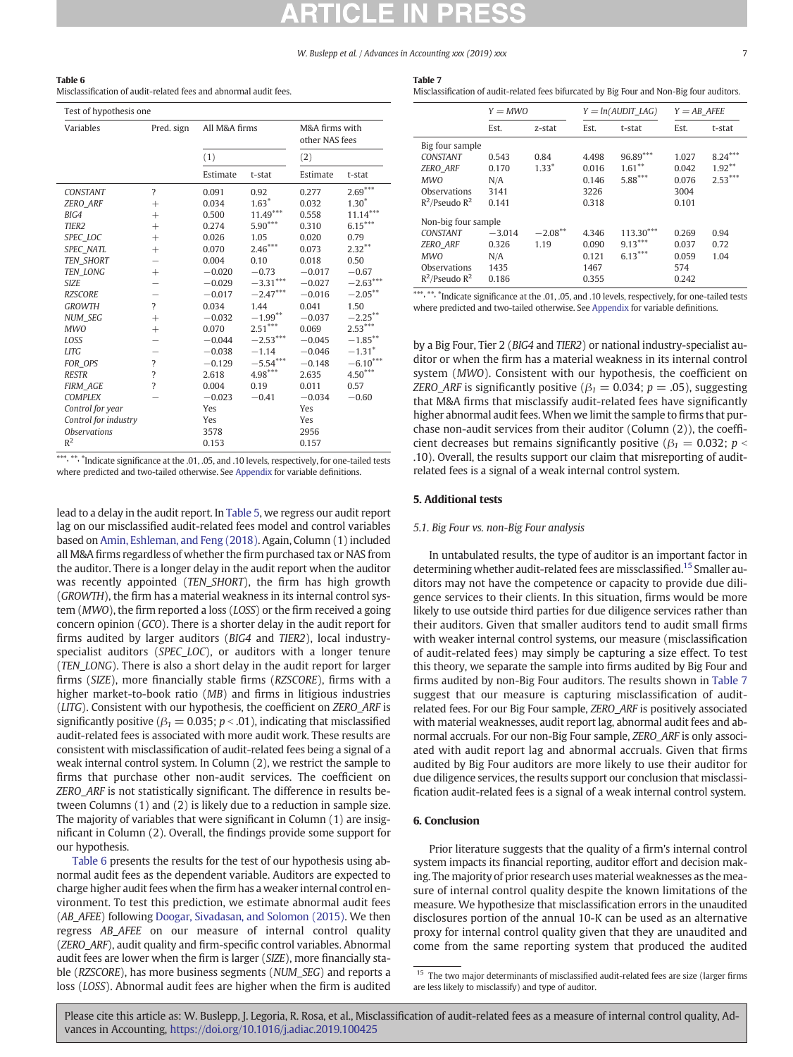## <span id="page-6-0"></span>Table 6

Misclassification of audit-related fees and abnormal audit fees.

| Test of hypothesis one |                          |               |            |                                  |                      |
|------------------------|--------------------------|---------------|------------|----------------------------------|----------------------|
| Variables              | Pred. sign               | All M&A firms |            | M&A firms with<br>other NAS fees |                      |
|                        |                          | (1)           |            | (2)                              |                      |
|                        |                          | Estimate      | t-stat     | Estimate                         | t-stat               |
| <b>CONSTANT</b>        | $\overline{\phantom{a}}$ | 0.091         | 0.92       | 0.277                            | $2.69***$            |
| <b>ZERO ARF</b>        | $^{+}$                   | 0.034         | $1.63*$    | 0.032                            | $1.30*$              |
| BIG4                   | $^{+}$                   | 0.500         | $11.49***$ | 0.558                            | $11.14***$           |
| TIER <sub>2</sub>      | $^{+}$                   | 0.274         | $5.90***$  | 0.310                            | $6.15***$            |
| SPEC LOC               | $^{+}$                   | 0.026         | 1.05       | 0.020                            | 0.79                 |
| <b>SPEC NATL</b>       | $^{+}$                   | 0.070         | $2.46***$  | 0.073                            | $2.32**$             |
| <b>TEN SHORT</b>       |                          | 0.004         | 0.10       | 0.018                            | 0.50                 |
| TEN_LONG               | $^{+}$                   | $-0.020$      | $-0.73$    | $-0.017$                         | $-0.67$              |
| <b>SIZE</b>            |                          | $-0.029$      | $-3.31***$ | $-0.027$                         | $-2.63***$           |
| <b>RZSCORE</b>         |                          | $-0.017$      | $-2.47***$ | $-0.016$                         | $-2.05***$           |
| <b>GROWTH</b>          | $\overline{\phantom{a}}$ | 0.034         | 1.44       | 0.041                            | 1.50                 |
| <b>NUM SEG</b>         | $^{+}$                   | $-0.032$      | $-1.99***$ | $-0.037$                         | $-2.25***$           |
| <b>MWO</b>             | $^{+}$                   | 0.070         | $2.51***$  | 0.069                            | $2.53***$            |
| LOSS                   |                          | $-0.044$      | $-2.53***$ | $-0.045$                         | $-1.85***$           |
| <b>LITG</b>            |                          | $-0.038$      | $-1.14$    | $-0.046$                         | $-1.31$ <sup>*</sup> |
| FOR OPS                | $\overline{\mathcal{E}}$ | $-0.129$      | $-5.54***$ | $-0.148$                         | $-6.10***$           |
| <b>RESTR</b>           | $\overline{\mathcal{L}}$ | 2.618         | $4.98***$  | 2.635                            | $4.50***$            |
| <b>FIRM AGE</b>        | $\overline{\mathcal{L}}$ | 0.004         | 0.19       | 0.011                            | 0.57                 |
| <b>COMPLEX</b>         |                          | $-0.023$      | $-0.41$    | $-0.034$                         | $-0.60$              |
| Control for year       |                          | Yes           |            | Yes                              |                      |
| Control for industry   |                          | Yes           |            | Yes                              |                      |
| <b>Observations</b>    |                          | 3578          |            | 2956                             |                      |
| $R^2$                  |                          | 0.153         |            | 0.157                            |                      |

\*\*\*, \*\*, \*Indicate significance at the .01, .05, and .10 levels, respectively, for one-tailed tests where predicted and two-tailed otherwise. See [Appendix](#page-7-0) for variable definitions.

lead to a delay in the audit report. In [Table 5](#page-5-0), we regress our audit report lag on our misclassified audit-related fees model and control variables based on [Amin, Eshleman, and Feng \(2018\).](#page-8-0) Again, Column (1) included all M&A firms regardless of whether the firm purchased tax or NAS from the auditor. There is a longer delay in the audit report when the auditor was recently appointed (TEN\_SHORT), the firm has high growth (GROWTH), the firm has a material weakness in its internal control system (MWO), the firm reported a loss (LOSS) or the firm received a going concern opinion (GCO). There is a shorter delay in the audit report for firms audited by larger auditors (BIG4 and TIER2), local industryspecialist auditors (SPEC LOC), or auditors with a longer tenure (TEN\_LONG). There is also a short delay in the audit report for larger firms (SIZE), more financially stable firms (RZSCORE), firms with a higher market-to-book ratio (MB) and firms in litigious industries (LITG). Consistent with our hypothesis, the coefficient on ZERO\_ARF is significantly positive ( $\beta_1 = 0.035$ ;  $p < .01$ ), indicating that misclassified audit-related fees is associated with more audit work. These results are consistent with misclassification of audit-related fees being a signal of a weak internal control system. In Column (2), we restrict the sample to firms that purchase other non-audit services. The coefficient on ZERO\_ARF is not statistically significant. The difference in results between Columns (1) and (2) is likely due to a reduction in sample size. The majority of variables that were significant in Column (1) are insignificant in Column (2). Overall, the findings provide some support for our hypothesis.

Table 6 presents the results for the test of our hypothesis using abnormal audit fees as the dependent variable. Auditors are expected to charge higher audit fees when the firm has a weaker internal control environment. To test this prediction, we estimate abnormal audit fees (AB AFEE) following [Doogar, Sivadasan, and Solomon \(2015\).](#page-8-0) We then regress AB\_AFEE on our measure of internal control quality (ZERO\_ARF), audit quality and firm-specific control variables. Abnormal audit fees are lower when the firm is larger (SIZE), more financially stable (RZSCORE), has more business segments (NUM\_SEG) and reports a loss (LOSS). Abnormal audit fees are higher when the firm is audited

| . .<br>$\sim$ |
|---------------|
|---------------|

Misclassification of audit-related fees bifurcated by Big Four and Non-Big four auditors.

|                                                                                                                | $Y = MWO$                                 |                    |                                          | $Y = ln(AUDIT LAG)$                   | $Y = AB$ AFEE                            |                                     |  |
|----------------------------------------------------------------------------------------------------------------|-------------------------------------------|--------------------|------------------------------------------|---------------------------------------|------------------------------------------|-------------------------------------|--|
|                                                                                                                | Est.                                      | z-stat             | Est.                                     | t-stat                                | Est.                                     | t-stat                              |  |
| Big four sample<br><b>CONSTANT</b><br><b>ZERO ARF</b><br><b>MWO</b><br>Observations<br>$R^2$ /Pseudo $R^2$     | 0.543<br>0.170<br>N/A<br>3141<br>0.141    | 0.84<br>$1.33*$    | 4.498<br>0.016<br>0.146<br>3226<br>0.318 | 96.89***<br>$1.61***$<br>$5.88***$    | 1.027<br>0.042<br>0.076<br>3004<br>0.101 | $8.24***$<br>$1.92***$<br>$2.53***$ |  |
| Non-big four sample<br><b>CONSTANT</b><br><b>ZERO ARF</b><br><b>MWO</b><br>Observations<br>$R^2$ /Pseudo $R^2$ | $-3.014$<br>0.326<br>N/A<br>1435<br>0.186 | $-2.08***$<br>1.19 | 4.346<br>0.090<br>0.121<br>1467<br>0.355 | $113.30***$<br>$9.13***$<br>$6.13***$ | 0.269<br>0.037<br>0.059<br>574<br>0.242  | 0.94<br>0.72<br>1.04                |  |

\*\*\*, \*\*, \*Indicate significance at the .01, .05, and .10 levels, respectively, for one-tailed tests where predicted and two-tailed otherwise. See [Appendix](#page-7-0) for variable definitions.

by a Big Four, Tier 2 (BIG4 and TIER2) or national industry-specialist auditor or when the firm has a material weakness in its internal control system (MWO). Consistent with our hypothesis, the coefficient on ZERO ARF is significantly positive ( $\beta_1 = 0.034$ ; p = .05), suggesting that M&A firms that misclassify audit-related fees have significantly higher abnormal audit fees. When we limit the sample to firms that purchase non-audit services from their auditor (Column (2)), the coefficient decreases but remains significantly positive ( $\beta_1 = 0.032$ ; p < .10). Overall, the results support our claim that misreporting of auditrelated fees is a signal of a weak internal control system.

### 5. Additional tests

#### 5.1. Big Four vs. non-Big Four analysis

In untabulated results, the type of auditor is an important factor in determining whether audit-related fees are missclassified.15 Smaller auditors may not have the competence or capacity to provide due diligence services to their clients. In this situation, firms would be more likely to use outside third parties for due diligence services rather than their auditors. Given that smaller auditors tend to audit small firms with weaker internal control systems, our measure (misclassification of audit-related fees) may simply be capturing a size effect. To test this theory, we separate the sample into firms audited by Big Four and firms audited by non-Big Four auditors. The results shown in Table 7 suggest that our measure is capturing misclassification of auditrelated fees. For our Big Four sample, ZERO\_ARF is positively associated with material weaknesses, audit report lag, abnormal audit fees and abnormal accruals. For our non-Big Four sample, ZERO\_ARF is only associated with audit report lag and abnormal accruals. Given that firms audited by Big Four auditors are more likely to use their auditor for due diligence services, the results support our conclusion that misclassification audit-related fees is a signal of a weak internal control system.

## 6. Conclusion

Prior literature suggests that the quality of a firm's internal control system impacts its financial reporting, auditor effort and decision making. The majority of prior research uses material weaknesses as the measure of internal control quality despite the known limitations of the measure. We hypothesize that misclassification errors in the unaudited disclosures portion of the annual 10-K can be used as an alternative proxy for internal control quality given that they are unaudited and come from the same reporting system that produced the audited

<sup>&</sup>lt;sup>15</sup> The two major determinants of misclassified audit-related fees are size (larger firms are less likely to misclassify) and type of auditor.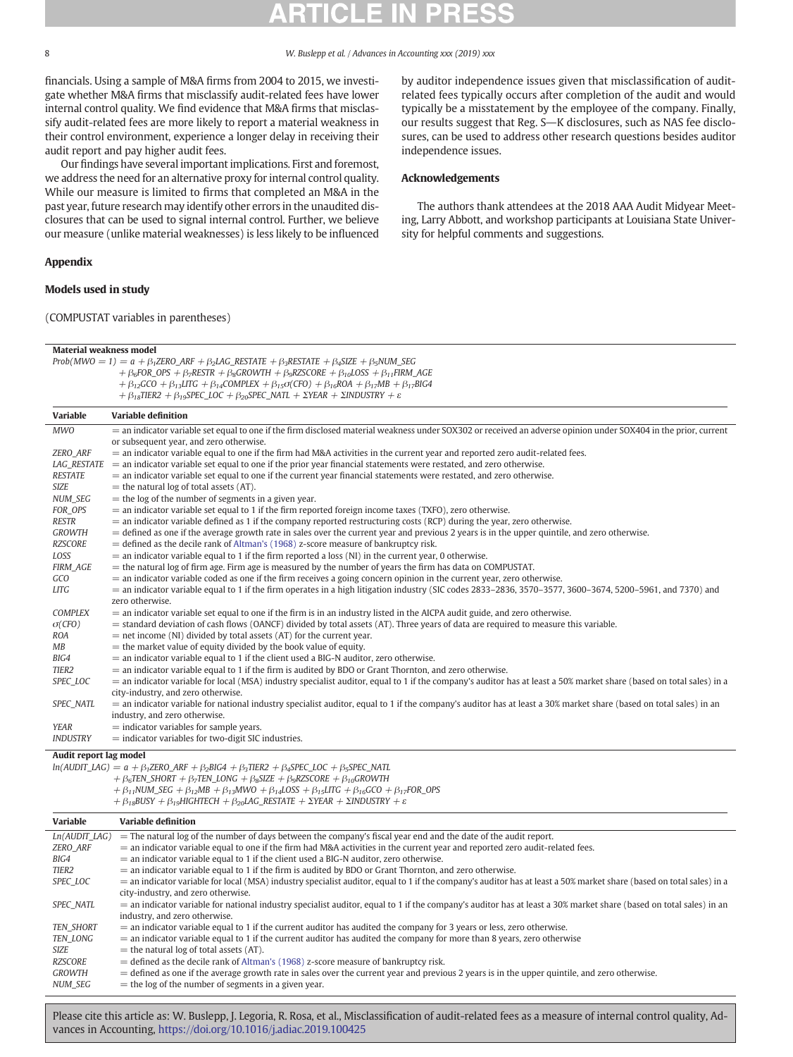<span id="page-7-0"></span>

financials. Using a sample of M&A firms from 2004 to 2015, we investigate whether M&A firms that misclassify audit-related fees have lower internal control quality. We find evidence that M&A firms that misclassify audit-related fees are more likely to report a material weakness in their control environment, experience a longer delay in receiving their audit report and pay higher audit fees.

Our findings have several important implications. First and foremost, we address the need for an alternative proxy for internal control quality. While our measure is limited to firms that completed an M&A in the past year, future research may identify other errors in the unaudited disclosures that can be used to signal internal control. Further, we believe our measure (unlike material weaknesses) is less likely to be influenced

 $Prob(MWO = 1) = a + \beta_1 ZERO\_ARF + \beta_2 LAG\_RESTATE + \beta_3 RESTATE + \beta_4 SIZE + \beta_5 NUM\_SEG$ 

+  $\beta_6$ FOR\_OPS +  $\beta_7$ RESTR +  $\beta_8$ GROWTH +  $\beta_9$ RZSCORE +  $\beta_{10}$ LOSS +  $\beta_{11}$ FIRM\_AGE

## Appendix

## Models used in study

Material weakness model

(COMPUSTAT variables in parentheses)

by auditor independence issues given that misclassification of auditrelated fees typically occurs after completion of the audit and would typically be a misstatement by the employee of the company. Finally, our results suggest that Reg. S-K disclosures, such as NAS fee disclosures, can be used to address other research questions besides auditor independence issues.

## Acknowledgements

The authors thank attendees at the 2018 AAA Audit Midyear Meeting, Larry Abbott, and workshop participants at Louisiana State University for helpful comments and suggestions.

|                        | $+\beta_{12}$ GCO + $\beta_{13}$ LITG + $\beta_{14}$ COMPLEX + $\beta_{15}$ o(CFO) + $\beta_{16}$ ROA + $\beta_{17}$ MB + $\beta_{17}$ BIG4<br>+ $\beta_{18}$ TIER2 + $\beta_{19}$ SPEC_LOC + $\beta_{20}$ SPEC_NATL + $\Sigma$ YEAR + $\Sigma$ INDUSTRY + $\varepsilon$ |
|------------------------|--------------------------------------------------------------------------------------------------------------------------------------------------------------------------------------------------------------------------------------------------------------------------|
| <b>Variable</b>        | <b>Variable definition</b>                                                                                                                                                                                                                                               |
| <b>MWO</b>             | = an indicator variable set equal to one if the firm disclosed material weakness under SOX302 or received an adverse opinion under SOX404 in the prior, current                                                                                                          |
|                        | or subsequent year, and zero otherwise.                                                                                                                                                                                                                                  |
| ZERO_ARF               | $=$ an indicator variable equal to one if the firm had M&A activities in the current year and reported zero audit-related fees.                                                                                                                                          |
| <b>LAG RESTATE</b>     | $=$ an indicator variable set equal to one if the prior year financial statements were restated, and zero otherwise.                                                                                                                                                     |
| <b>RESTATE</b>         | $=$ an indicator variable set equal to one if the current year financial statements were restated, and zero otherwise.                                                                                                                                                   |
| SIZE                   | $=$ the natural log of total assets (AT).                                                                                                                                                                                                                                |
| <b>NUM SEG</b>         | $=$ the log of the number of segments in a given year.                                                                                                                                                                                                                   |
| FOR OPS                | $=$ an indicator variable set equal to 1 if the firm reported foreign income taxes (TXFO), zero otherwise.                                                                                                                                                               |
| <b>RESTR</b>           | $=$ an indicator variable defined as 1 if the company reported restructuring costs (RCP) during the year, zero otherwise.                                                                                                                                                |
| <b>GROWTH</b>          | $=$ defined as one if the average growth rate in sales over the current year and previous 2 years is in the upper quintile, and zero otherwise.                                                                                                                          |
| <b>RZSCORE</b>         | $=$ defined as the decile rank of Altman's (1968) z-score measure of bankruptcy risk.                                                                                                                                                                                    |
| LOSS                   | $=$ an indicator variable equal to 1 if the firm reported a loss (NI) in the current year, 0 otherwise.                                                                                                                                                                  |
| <b>FIRM_AGE</b>        | $=$ the natural log of firm age. Firm age is measured by the number of years the firm has data on COMPUSTAT.                                                                                                                                                             |
| GCO                    | $=$ an indicator variable coded as one if the firm receives a going concern opinion in the current year, zero otherwise.                                                                                                                                                 |
| <b>LITG</b>            | $=$ an indicator variable equal to 1 if the firm operates in a high litigation industry (SIC codes 2833–2836, 3570–3577, 3600–3674, 5200–5961, and 7370) and<br>zero otherwise.                                                                                          |
| <b>COMPLEX</b>         | $=$ an indicator variable set equal to one if the firm is in an industry listed in the AICPA audit guide, and zero otherwise.                                                                                                                                            |
| $\sigma$ (CFO)         | $=$ standard deviation of cash flows (OANCF) divided by total assets (AT). Three years of data are required to measure this variable.                                                                                                                                    |
| ROA                    | $=$ net income (NI) divided by total assets (AT) for the current year.                                                                                                                                                                                                   |
| МB                     | $=$ the market value of equity divided by the book value of equity.                                                                                                                                                                                                      |
| BIG4                   | $=$ an indicator variable equal to 1 if the client used a BIG-N auditor, zero otherwise.                                                                                                                                                                                 |
| TIER <sub>2</sub>      | $=$ an indicator variable equal to 1 if the firm is audited by BDO or Grant Thornton, and zero otherwise.                                                                                                                                                                |
| SPEC_LOC               | $=$ an indicator variable for local (MSA) industry specialist auditor, equal to 1 if the company's auditor has at least a 50% market share (based on total sales) in a                                                                                                   |
|                        | city-industry, and zero otherwise.                                                                                                                                                                                                                                       |
| SPEC_NATL              | $=$ an indicator variable for national industry specialist auditor, equal to 1 if the company's auditor has at least a 30% market share (based on total sales) in an                                                                                                     |
| YEAR                   | industry, and zero otherwise.                                                                                                                                                                                                                                            |
| <b>INDUSTRY</b>        | $=$ indicator variables for sample years.<br>$=$ indicator variables for two-digit SIC industries.                                                                                                                                                                       |
|                        |                                                                                                                                                                                                                                                                          |
| Audit report lag model |                                                                                                                                                                                                                                                                          |
|                        | $ln(AUDIT_LAG) = a + \beta_1 ZERO_RRF + \beta_2 BIG4 + \beta_3 TIER2 + \beta_4 SPEC_LOC + \beta_5 SPEC_RATL$                                                                                                                                                             |
|                        | $+\beta_6$ TEN_SHORT + $\beta_7$ TEN_LONG + $\beta_8$ SIZE + $\beta_9$ RZSCORE + $\beta_{10}$ GROWTH                                                                                                                                                                     |
|                        | $+\beta_{11}$ NUM_SEG $+\beta_{12}$ MB $+\beta_{13}$ MWO $+\beta_{14}$ LOSS $+\beta_{15}$ LITG $+\beta_{16}$ GCO $+\beta_{17}$ FOR_OPS<br>$+\beta_{18}$ BUSY + $\beta_{19}$ HIGHTECH + $\beta_{20}$ LAG_RESTATE + $\Sigma$ YEAR + $\Sigma$ INDUSTRY + $\varepsilon$      |
|                        |                                                                                                                                                                                                                                                                          |
| <b>Variable</b>        | <b>Variable definition</b>                                                                                                                                                                                                                                               |
| Ln(AUDIT LAG)          | $=$ The natural log of the number of days between the company's fiscal year end and the date of the audit report.                                                                                                                                                        |
| ZERO_ARF               | $=$ an indicator variable equal to one if the firm had M&A activities in the current year and reported zero audit-related fees.                                                                                                                                          |
| BIG4                   | $=$ an indicator variable equal to 1 if the client used a BIG-N auditor, zero otherwise.                                                                                                                                                                                 |
| TIER <sub>2</sub>      | $=$ an indicator variable equal to 1 if the firm is audited by BDO or Grant Thornton, and zero otherwise.                                                                                                                                                                |
| SPEC_LOC               | $=$ an indicator variable for local (MSA) industry specialist auditor, equal to 1 if the company's auditor has at least a 50% market share (based on total sales) in a<br>city-industry, and zero otherwise.                                                             |
| SPEC_NATL              | $=$ an indicator variable for national industry specialist auditor, equal to 1 if the company's auditor has at least a 30% market share (based on total sales) in an                                                                                                     |
|                        | industry, and zero otherwise.                                                                                                                                                                                                                                            |
| <b>TEN SHORT</b>       | $=$ an indicator variable equal to 1 if the current auditor has audited the company for 3 years or less, zero otherwise.                                                                                                                                                 |
| TEN_LONG               | $=$ an indicator variable equal to 1 if the current auditor has audited the company for more than 8 years, zero otherwise                                                                                                                                                |
| <b>SIZE</b>            | $=$ the natural log of total assets (AT).                                                                                                                                                                                                                                |
| <b>RZSCORE</b>         | $=$ defined as the decile rank of Altman's (1968) z-score measure of bankruptcy risk.                                                                                                                                                                                    |
| <b>GROWTH</b>          | $=$ defined as one if the average growth rate in sales over the current year and previous 2 years is in the upper quintile, and zero otherwise.                                                                                                                          |
| <b>NUM SEG</b>         | $=$ the log of the number of segments in a given year.                                                                                                                                                                                                                   |
|                        |                                                                                                                                                                                                                                                                          |
|                        |                                                                                                                                                                                                                                                                          |
|                        | Please cite this article as: W. Buslepp, J. Legoria, R. Rosa, et al., Misclassification of audit-related fees as a measure of internal control quality, Ad-                                                                                                              |
|                        | vances in Accounting, https://doi.org/10.1016/j.adiac.2019.100425                                                                                                                                                                                                        |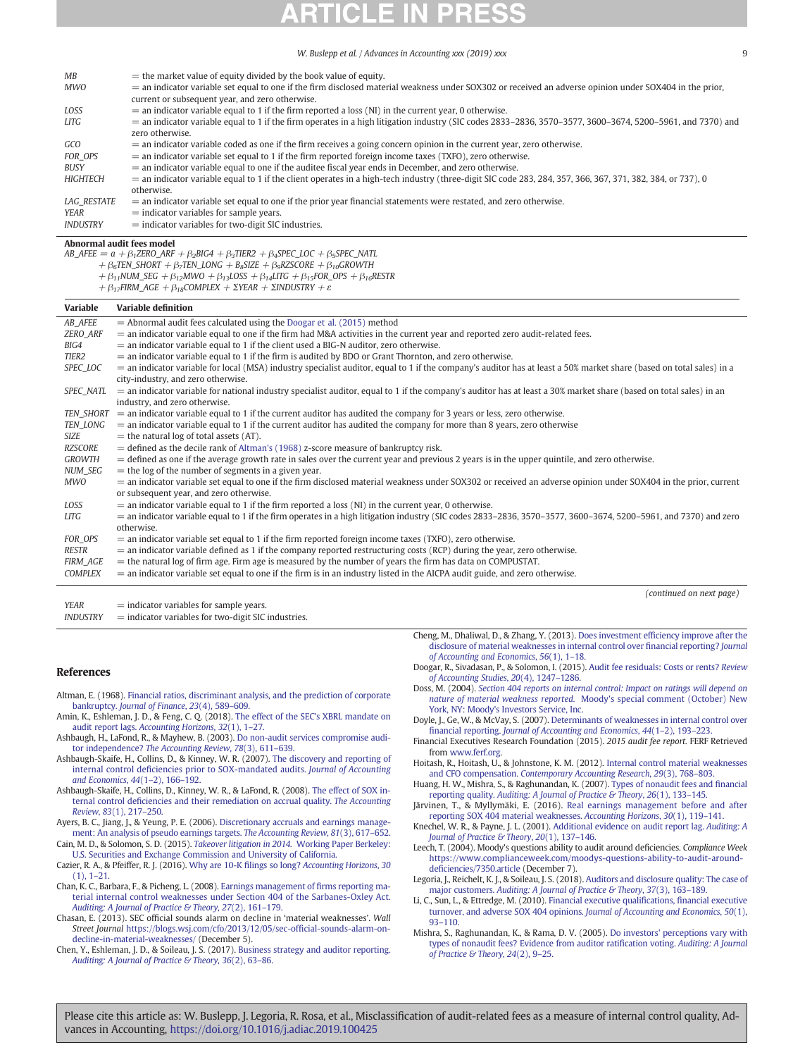<span id="page-8-0"></span>

| МB                 | $=$ the market value of equity divided by the book value of equity.                                                                                          |
|--------------------|--------------------------------------------------------------------------------------------------------------------------------------------------------------|
| MWO                | $=$ an indicator variable set equal to one if the firm disclosed material weakness under SOX302 or received an adverse opinion under SOX404 in the prior,    |
|                    | current or subsequent year, and zero otherwise.                                                                                                              |
| LOSS               | $=$ an indicator variable equal to 1 if the firm reported a loss (NI) in the current year, 0 otherwise.                                                      |
| LITG               | $=$ an indicator variable equal to 1 if the firm operates in a high litigation industry (SIC codes 2833–2836, 3570–3577, 3600–3674, 5200–5961, and 7370) and |
|                    | zero otherwise.                                                                                                                                              |
| GCO                | $=$ an indicator variable coded as one if the firm receives a going concern opinion in the current year, zero otherwise.                                     |
| FOR OPS            | $=$ an indicator variable set equal to 1 if the firm reported foreign income taxes (TXFO), zero otherwise.                                                   |
| BUSY               | $=$ an indicator variable equal to one if the auditee fiscal year ends in December, and zero otherwise.                                                      |
| <b>HIGHTECH</b>    | $=$ an indicator variable equal to 1 if the client operates in a high-tech industry (three-digit SIC code 283, 284, 357, 366, 367, 371, 382, 384, or 737), 0 |
|                    | otherwise.                                                                                                                                                   |
| <b>LAG RESTATE</b> | $=$ an indicator variable set equal to one if the prior year financial statements were restated, and zero otherwise.                                         |
| YEAR               | $=$ indicator variables for sample years.                                                                                                                    |
| <b>INDUSTRY</b>    | $=$ indicator variables for two-digit SIC industries.                                                                                                        |

Abnormal audit fees model

 $AB\_AFEE = a + \beta_1 ZERO\_ARF + \beta_2 BIG4 + \beta_3 TIER2 + \beta_4 SPEC\_LOC + \beta_5 SPEC\_NATL$ 

 $+ \beta_6$ TEN\_SHORT + β7TEN\_LONG + B<sub>8</sub>SIZE + β<sub>9</sub>RZSCORE + β<sub>10</sub>GROWTH

- $+ \beta_{11}$ NUM\_SEG +  $\beta_{12}$ MWO +  $\beta_{13}$ LOSS +  $\beta_{14}$ LITG +  $\beta_{15}$ FOR\_OPS +  $\beta_{16}$ RESTR
- $+ \beta_{17}$ FIRM\_AGE  $+ \beta_{18}$ COMPLEX  $+ \Sigma$ YEAR  $+ \Sigma$ INDUSTRY  $+ \varepsilon$

| Variable          | <b>Variable definition</b>                                                                                                                                             |
|-------------------|------------------------------------------------------------------------------------------------------------------------------------------------------------------------|
| AB_AFEE           | $=$ Abnormal audit fees calculated using the Doogar et al. (2015) method                                                                                               |
| ZERO_ARF          | $=$ an indicator variable equal to one if the firm had M&A activities in the current year and reported zero audit-related fees.                                        |
| BIG4              | $=$ an indicator variable equal to 1 if the client used a BIG-N auditor, zero otherwise.                                                                               |
| TIER <sub>2</sub> | $=$ an indicator variable equal to 1 if the firm is audited by BDO or Grant Thornton, and zero otherwise.                                                              |
| SPEC_LOC          | $=$ an indicator variable for local (MSA) industry specialist auditor, equal to 1 if the company's auditor has at least a 50% market share (based on total sales) in a |
|                   | city-industry, and zero otherwise.                                                                                                                                     |
| SPEC NATL         | $=$ an indicator variable for national industry specialist auditor, equal to 1 if the company's auditor has at least a 30% market share (based on total sales) in an   |
|                   | industry, and zero otherwise.                                                                                                                                          |
| TEN SHORT         | $=$ an indicator variable equal to 1 if the current auditor has audited the company for 3 years or less, zero otherwise.                                               |
| TEN_LONG          | $=$ an indicator variable equal to 1 if the current auditor has audited the company for more than 8 years, zero otherwise                                              |
| <b>SIZE</b>       | $=$ the natural log of total assets (AT).                                                                                                                              |
| RZSCORE           | $=$ defined as the decile rank of Altman's (1968) z-score measure of bankruptcy risk.                                                                                  |
| <b>GROWTH</b>     | $=$ defined as one if the average growth rate in sales over the current year and previous 2 years is in the upper quintile, and zero otherwise.                        |
| NUM_SEG           | $=$ the log of the number of segments in a given year.                                                                                                                 |
| <b>MWO</b>        | = an indicator variable set equal to one if the firm disclosed material weakness under SOX302 or received an adverse opinion under SOX404 in the prior, current        |
|                   | or subsequent year, and zero otherwise.                                                                                                                                |
| LOSS              | $=$ an indicator variable equal to 1 if the firm reported a loss (NI) in the current year, 0 otherwise.                                                                |
| <b>LITG</b>       | $=$ an indicator variable equal to 1 if the firm operates in a high litigation industry (SIC codes 2833–2836, 3570–3577, 3600–3674, 5200–5961, and 7370) and zero      |
|                   | otherwise.                                                                                                                                                             |
| FOR_OPS           | $=$ an indicator variable set equal to 1 if the firm reported foreign income taxes (TXFO), zero otherwise.                                                             |
| <b>RESTR</b>      | $=$ an indicator variable defined as 1 if the company reported restructuring costs (RCP) during the year, zero otherwise.                                              |
| <b>FIRM_AGE</b>   | $=$ the natural log of firm age. Firm age is measured by the number of years the firm has data on COMPUSTAT.                                                           |
| <b>COMPLEX</b>    | $=$ an indicator variable set equal to one if the firm is in an industry listed in the AICPA audit guide, and zero otherwise.                                          |
|                   | (continued on next page)                                                                                                                                               |

 $YEAR$  = indicator variables for sample years.

 $INDUSTRY = indicator$  variables for two-digit SIC industries.

### References

- Altman, E. (1968). [Financial ratios, discriminant analysis, and the prediction of corporate](http://refhub.elsevier.com/S0882-6110(18)30196-2/rf0005) bankruptcy. [Journal of Finance](http://refhub.elsevier.com/S0882-6110(18)30196-2/rf0005), 23(4), 589–609.
- Amin, K., Eshleman, J. D., & Feng, C. Q. (2018). [The effect of the SEC's XBRL mandate on](http://refhub.elsevier.com/S0882-6110(18)30196-2/rf0010) audit report lags. [Accounting Horizons](http://refhub.elsevier.com/S0882-6110(18)30196-2/rf0010), 32(1), 1–27.
- Ashbaugh, H., LaFond, R., & Mayhew, B. (2003). [Do non-audit services compromise audi](http://refhub.elsevier.com/S0882-6110(18)30196-2/rf0015)tor independence? [The Accounting Review](http://refhub.elsevier.com/S0882-6110(18)30196-2/rf0015), 78(3), 611–639.
- Ashbaugh-Skaife, H., Collins, D., & Kinney, W. R. (2007). [The discovery and reporting of](http://refhub.elsevier.com/S0882-6110(18)30196-2/rf0020) internal control defi[ciencies prior to SOX-mandated audits.](http://refhub.elsevier.com/S0882-6110(18)30196-2/rf0020) Journal of Accounting [and Economics](http://refhub.elsevier.com/S0882-6110(18)30196-2/rf0020), 44(1–2), 166–192.
- Ashbaugh-Skaife, H., Collins, D., Kinney, W. R., & LaFond, R. (2008). [The effect of SOX in](http://refhub.elsevier.com/S0882-6110(18)30196-2/rf0025)ternal control defi[ciencies and their remediation on accrual quality.](http://refhub.elsevier.com/S0882-6110(18)30196-2/rf0025) The Accounting Review, 83[\(1\), 217](http://refhub.elsevier.com/S0882-6110(18)30196-2/rf0025)–250.
- Ayers, B. C., Jiang, J., & Yeung, P. E. (2006). [Discretionary accruals and earnings manage](http://refhub.elsevier.com/S0882-6110(18)30196-2/rf0030)[ment: An analysis of pseudo earnings targets.](http://refhub.elsevier.com/S0882-6110(18)30196-2/rf0030) The Accounting Review, 81(3), 617–652.
- Cain, M. D., & Solomon, S. D. (2015). [Takeover litigation in 2014.](http://refhub.elsevier.com/S0882-6110(18)30196-2/rf0040) Working Paper Berkeley: [U.S. Securities and Exchange Commission and University of California.](http://refhub.elsevier.com/S0882-6110(18)30196-2/rf0040)
- Cazier, R. A., & Pfeiffer, R. J. (2016). Why are 10-K filings so long? [Accounting Horizons](http://refhub.elsevier.com/S0882-6110(18)30196-2/rf0045), 30 [\(1\), 1](http://refhub.elsevier.com/S0882-6110(18)30196-2/rf0045)–21.
- Chan, K. C., Barbara, F., & Picheng, L. (2008). [Earnings management of](http://refhub.elsevier.com/S0882-6110(18)30196-2/rf0050) firms reporting ma[terial internal control weaknesses under Section 404 of the Sarbanes-Oxley Act.](http://refhub.elsevier.com/S0882-6110(18)30196-2/rf0050) [Auditing: A Journal of Practice & Theory](http://refhub.elsevier.com/S0882-6110(18)30196-2/rf0050), 27(2), 161-179.
- Chasan, E. (2013). SEC official sounds alarm on decline in 'material weaknesses'. Wall Street Journal [https://blogs.wsj.com/cfo/2013/12/05/sec-of](https://blogs.wsj.com/cfo/2013/12/05/sec-official-sounds-alarm-on-decline-in-material-weaknesses/)ficial-sounds-alarm-on[decline-in-material-weaknesses/](https://blogs.wsj.com/cfo/2013/12/05/sec-official-sounds-alarm-on-decline-in-material-weaknesses/) (December 5).
- Chen, Y., Eshleman, J. D., & Soileau, J. S. (2017). [Business strategy and auditor reporting.](http://refhub.elsevier.com/S0882-6110(18)30196-2/rf0060) [Auditing: A Journal of Practice & Theory](http://refhub.elsevier.com/S0882-6110(18)30196-2/rf0060), 36(2), 63-86.
- Cheng, M., Dhaliwal, D., & Zhang, Y. (2013). Does investment effi[ciency improve after the](http://refhub.elsevier.com/S0882-6110(18)30196-2/rf0065) [disclosure of material weaknesses in internal control over](http://refhub.elsevier.com/S0882-6110(18)30196-2/rf0065) financial reporting? Journal [of Accounting and Economics](http://refhub.elsevier.com/S0882-6110(18)30196-2/rf0065), 56(1), 1–18.
- Doogar, R., Sivadasan, P., & Solomon, I. (2015). [Audit fee residuals: Costs or rents?](http://refhub.elsevier.com/S0882-6110(18)30196-2/rf0075) Review [of Accounting Studies](http://refhub.elsevier.com/S0882-6110(18)30196-2/rf0075), 20(4), 1247–1286.
- Doss, M. (2004). [Section 404 reports on internal control: Impact on ratings will depend on](http://refhub.elsevier.com/S0882-6110(18)30196-2/rf0080) nature of material weakness reported. [Moody's special comment \(October\) New](http://refhub.elsevier.com/S0882-6110(18)30196-2/rf0080) [York, NY: Moody's Investors Service, Inc.](http://refhub.elsevier.com/S0882-6110(18)30196-2/rf0080)
- Doyle, J., Ge, W., & McVay, S. (2007). [Determinants of weaknesses in internal control over](http://refhub.elsevier.com/S0882-6110(18)30196-2/rf0090) financial reporting. [Journal of Accounting and Economics](http://refhub.elsevier.com/S0882-6110(18)30196-2/rf0090), 44(1–2), 193–223.
- Financial Executives Research Foundation (2015). 2015 audit fee report. FERF Retrieved from [www.ferf.org.](http://www.ferf.org)
- Hoitash, R., Hoitash, U., & Johnstone, K. M. (2012). [Internal control material weaknesses](http://refhub.elsevier.com/S0882-6110(18)30196-2/rf0110) and CFO compensation. [Contemporary Accounting Research](http://refhub.elsevier.com/S0882-6110(18)30196-2/rf0110), 29(3), 768–803.
- Huang, H. W., Mishra, S., & Raghunandan, K. (2007). [Types of nonaudit fees and](http://refhub.elsevier.com/S0882-6110(18)30196-2/rf0115) financial reporting quality. [Auditing: A Journal of Practice & Theory](http://refhub.elsevier.com/S0882-6110(18)30196-2/rf0115), 26(1), 133-145.
- Järvinen, T., & Myllymäki, E. (2016). [Real earnings management before and after](http://refhub.elsevier.com/S0882-6110(18)30196-2/rf0120) [reporting SOX 404 material weaknesses.](http://refhub.elsevier.com/S0882-6110(18)30196-2/rf0120) Accounting Horizons, 30(1), 119–141.
- Knechel, W. R., & Payne, J. L. (2001). [Additional evidence on audit report lag.](http://refhub.elsevier.com/S0882-6110(18)30196-2/rf0130) Auditing: A [Journal of Practice & Theory](http://refhub.elsevier.com/S0882-6110(18)30196-2/rf0130), 20(1), 137-146.
- Leech, T. (2004). Moody's questions ability to audit around deficiencies. Compliance Week [https://www.complianceweek.com/moodys-questions-ability-to-audit-around](https://www.complianceweek.com/moodys-questions-ability-to-audit-around-deficiencies/7350.article)defi[ciencies/7350.article](https://www.complianceweek.com/moodys-questions-ability-to-audit-around-deficiencies/7350.article) (December 7).
- Legoria, J., Reichelt, K. J., & Soileau, J. S. (2018). [Auditors and disclosure quality: The case of](http://refhub.elsevier.com/S0882-6110(18)30196-2/rf0145) major customers. [Auditing: A Journal of Practice & Theory](http://refhub.elsevier.com/S0882-6110(18)30196-2/rf0145), 37(3), 163-189.
- Li, C., Sun, L., & Ettredge, M. (2010). [Financial executive quali](http://refhub.elsevier.com/S0882-6110(18)30196-2/rf0150)fications, financial executive [turnover, and adverse SOX 404 opinions.](http://refhub.elsevier.com/S0882-6110(18)30196-2/rf0150) Journal of Accounting and Economics, 50(1), 93–[110.](http://refhub.elsevier.com/S0882-6110(18)30196-2/rf0150)
- Mishra, S., Raghunandan, K., & Rama, D. V. (2005). [Do investors' perceptions vary with](http://refhub.elsevier.com/S0882-6110(18)30196-2/rf0165) [types of nonaudit fees? Evidence from auditor rati](http://refhub.elsevier.com/S0882-6110(18)30196-2/rf0165)fication voting. Auditing: A Journal [of Practice & Theory](http://refhub.elsevier.com/S0882-6110(18)30196-2/rf0165), 24(2), 9–25.